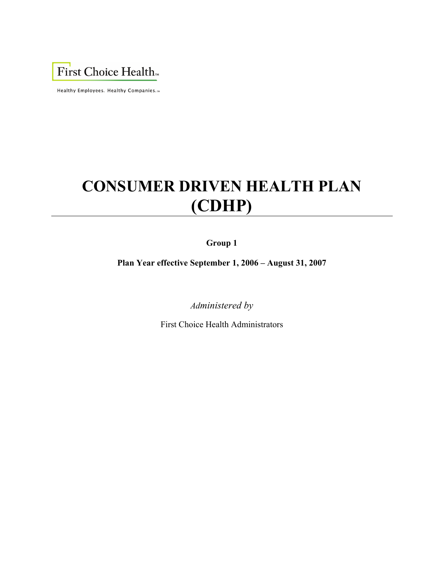First Choice Health<sub>m</sub>

Healthy Employees. Healthy Companies.™

# **CONSUMER DRIVEN HEALTH PLAN (CDHP)**

## **Group 1**

**Plan Year effective September 1, 2006 – August 31, 2007** 

*Administered by* 

First Choice Health Administrators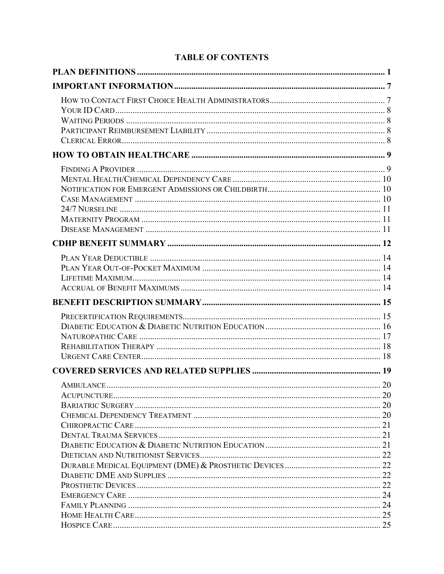# **TABLE OF CONTENTS**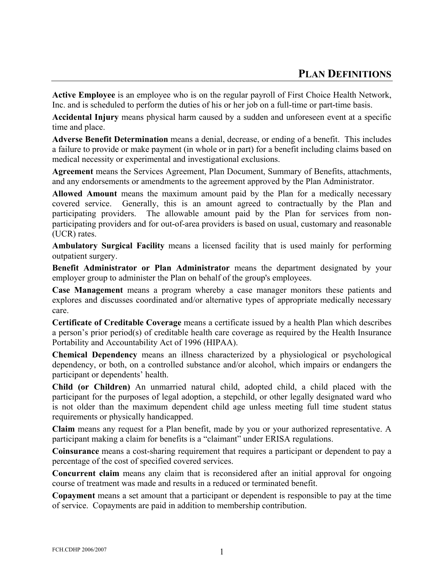<span id="page-3-0"></span>**Active Employee** is an employee who is on the regular payroll of First Choice Health Network, Inc. and is scheduled to perform the duties of his or her job on a full-time or part-time basis.

**Accidental Injury** means physical harm caused by a sudden and unforeseen event at a specific time and place.

**Adverse Benefit Determination** means a denial, decrease, or ending of a benefit. This includes a failure to provide or make payment (in whole or in part) for a benefit including claims based on medical necessity or experimental and investigational exclusions.

**Agreement** means the Services Agreement, Plan Document, Summary of Benefits, attachments, and any endorsements or amendments to the agreement approved by the Plan Administrator.

**Allowed Amount** means the maximum amount paid by the Plan for a medically necessary covered service. Generally, this is an amount agreed to contractually by the Plan and participating providers. The allowable amount paid by the Plan for services from nonparticipating providers and for out-of-area providers is based on usual, customary and reasonable (UCR) rates.

**Ambulatory Surgical Facility** means a licensed facility that is used mainly for performing outpatient surgery.

**Benefit Administrator or Plan Administrator** means the department designated by your employer group to administer the Plan on behalf of the group's employees.

**Case Management** means a program whereby a case manager monitors these patients and explores and discusses coordinated and/or alternative types of appropriate medically necessary care.

**Certificate of Creditable Coverage** means a certificate issued by a health Plan which describes a person's prior period(s) of creditable health care coverage as required by the Health Insurance Portability and Accountability Act of 1996 (HIPAA).

**Chemical Dependency** means an illness characterized by a physiological or psychological dependency, or both, on a controlled substance and/or alcohol, which impairs or endangers the participant or dependents' health.

**Child (or Children)** An unmarried natural child, adopted child, a child placed with the participant for the purposes of legal adoption, a stepchild, or other legally designated ward who is not older than the maximum dependent child age unless meeting full time student status requirements or physically handicapped.

**Claim** means any request for a Plan benefit, made by you or your authorized representative. A participant making a claim for benefits is a "claimant" under ERISA regulations.

**Coinsurance** means a cost-sharing requirement that requires a participant or dependent to pay a percentage of the cost of specified covered services.

**Concurrent claim** means any claim that is reconsidered after an initial approval for ongoing course of treatment was made and results in a reduced or terminated benefit.

**Copayment** means a set amount that a participant or dependent is responsible to pay at the time of service. Copayments are paid in addition to membership contribution.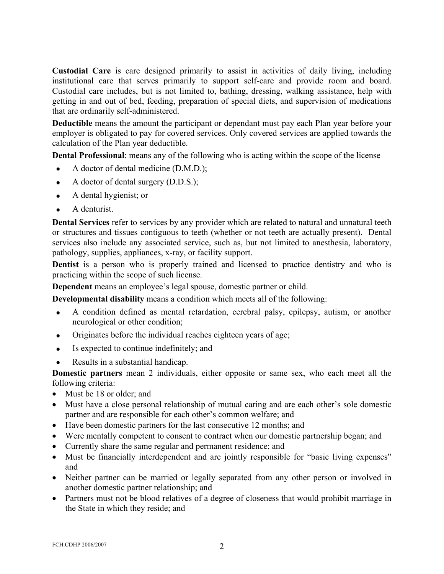**Custodial Care** is care designed primarily to assist in activities of daily living, including institutional care that serves primarily to support self-care and provide room and board. Custodial care includes, but is not limited to, bathing, dressing, walking assistance, help with getting in and out of bed, feeding, preparation of special diets, and supervision of medications that are ordinarily self-administered.

**Deductible** means the amount the participant or dependant must pay each Plan year before your employer is obligated to pay for covered services. Only covered services are applied towards the calculation of the Plan year deductible.

**Dental Professional**: means any of the following who is acting within the scope of the license

- A doctor of dental medicine (D.M.D.);
- A doctor of dental surgery  $(D.D.S.)$ ;
- A dental hygienist; or
- A denturist.

**Dental Services** refer to services by any provider which are related to natural and unnatural teeth or structures and tissues contiguous to teeth (whether or not teeth are actually present). Dental services also include any associated service, such as, but not limited to anesthesia, laboratory, pathology, supplies, appliances, x-ray, or facility support.

**Dentist** is a person who is properly trained and licensed to practice dentistry and who is practicing within the scope of such license.

**Dependent** means an employee's legal spouse, domestic partner or child.

**Developmental disability** means a condition which meets all of the following:

- A condition defined as mental retardation, cerebral palsy, epilepsy, autism, or another neurological or other condition;
- Originates before the individual reaches eighteen years of age;
- Is expected to continue indefinitely; and
- Results in a substantial handicap.

**Domestic partners** mean 2 individuals, either opposite or same sex, who each meet all the following criteria:

- Must be 18 or older; and
- Must have a close personal relationship of mutual caring and are each other's sole domestic partner and are responsible for each other's common welfare; and
- Have been domestic partners for the last consecutive 12 months; and
- Were mentally competent to consent to contract when our domestic partnership began; and
- Currently share the same regular and permanent residence; and
- Must be financially interdependent and are jointly responsible for "basic living expenses" and
- Neither partner can be married or legally separated from any other person or involved in another domestic partner relationship; and
- Partners must not be blood relatives of a degree of closeness that would prohibit marriage in the State in which they reside; and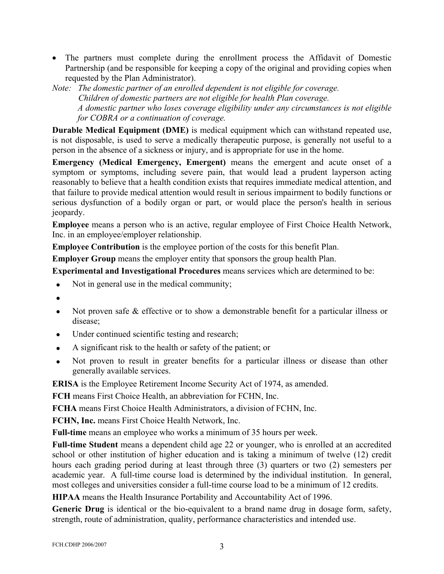- The partners must complete during the enrollment process the Affidavit of Domestic Partnership (and be responsible for keeping a copy of the original and providing copies when requested by the Plan Administrator).
- *Note: The domestic partner of an enrolled dependent is not eligible for coverage. Children of domestic partners are not eligible for health Plan coverage. A domestic partner who loses coverage eligibility under any circumstances is not eligible for COBRA or a continuation of coverage.*

**Durable Medical Equipment (DME)** is medical equipment which can withstand repeated use, is not disposable, is used to serve a medically therapeutic purpose, is generally not useful to a person in the absence of a sickness or injury, and is appropriate for use in the home.

**Emergency (Medical Emergency, Emergent)** means the emergent and acute onset of a symptom or symptoms, including severe pain, that would lead a prudent layperson acting reasonably to believe that a health condition exists that requires immediate medical attention, and that failure to provide medical attention would result in serious impairment to bodily functions or serious dysfunction of a bodily organ or part, or would place the person's health in serious jeopardy.

**Employee** means a person who is an active, regular employee of First Choice Health Network, Inc. in an employee/employer relationship.

**Employee Contribution** is the employee portion of the costs for this benefit Plan.

**Employer Group** means the employer entity that sponsors the group health Plan.

**Experimental and Investigational Procedures** means services which are determined to be:

- Not in general use in the medical community;
- •
- Not proven safe & effective or to show a demonstrable benefit for a particular illness or disease;
- Under continued scientific testing and research;
- A significant risk to the health or safety of the patient; or
- Not proven to result in greater benefits for a particular illness or disease than other generally available services.

**ERISA** is the Employee Retirement Income Security Act of 1974, as amended.

**FCH** means First Choice Health, an abbreviation for FCHN, Inc.

**FCHA** means First Choice Health Administrators, a division of FCHN, Inc.

**FCHN, Inc.** means First Choice Health Network, Inc.

**Full-time** means an employee who works a minimum of 35 hours per week.

**Full-time Student** means a dependent child age 22 or younger, who is enrolled at an accredited school or other institution of higher education and is taking a minimum of twelve (12) credit hours each grading period during at least through three (3) quarters or two (2) semesters per academic year. A full-time course load is determined by the individual institution. In general, most colleges and universities consider a full-time course load to be a minimum of 12 credits.

**HIPAA** means the Health Insurance Portability and Accountability Act of 1996.

**Generic Drug** is identical or the bio-equivalent to a brand name drug in dosage form, safety, strength, route of administration, quality, performance characteristics and intended use.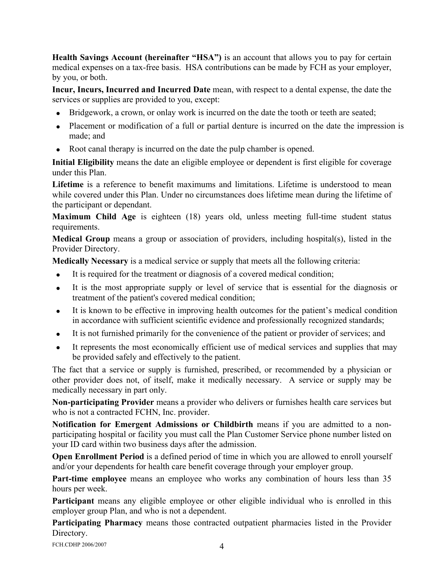**Health Savings Account (hereinafter "HSA")** is an account that allows you to pay for certain medical expenses on a tax-free basis. HSA contributions can be made by FCH as your employer, by you, or both.

**Incur, Incurs, Incurred and Incurred Date** mean, with respect to a dental expense, the date the services or supplies are provided to you, except:

- Bridgework, a crown, or onlay work is incurred on the date the tooth or teeth are seated:
- Placement or modification of a full or partial denture is incurred on the date the impression is made; and
- Root canal therapy is incurred on the date the pulp chamber is opened.

**Initial Eligibility** means the date an eligible employee or dependent is first eligible for coverage under this Plan.

**Lifetime** is a reference to benefit maximums and limitations. Lifetime is understood to mean while covered under this Plan. Under no circumstances does lifetime mean during the lifetime of the participant or dependant.

**Maximum Child Age** is eighteen (18) years old, unless meeting full-time student status requirements.

**Medical Group** means a group or association of providers, including hospital(s), listed in the Provider Directory.

**Medically Necessary** is a medical service or supply that meets all the following criteria:

- It is required for the treatment or diagnosis of a covered medical condition;
- It is the most appropriate supply or level of service that is essential for the diagnosis or treatment of the patient's covered medical condition;
- It is known to be effective in improving health outcomes for the patient's medical condition in accordance with sufficient scientific evidence and professionally recognized standards;
- It is not furnished primarily for the convenience of the patient or provider of services; and
- It represents the most economically efficient use of medical services and supplies that may be provided safely and effectively to the patient.

The fact that a service or supply is furnished, prescribed, or recommended by a physician or other provider does not, of itself, make it medically necessary. A service or supply may be medically necessary in part only.

**Non-participating Provider** means a provider who delivers or furnishes health care services but who is not a contracted FCHN, Inc. provider.

**Notification for Emergent Admissions or Childbirth** means if you are admitted to a nonparticipating hospital or facility you must call the Plan Customer Service phone number listed on your ID card within two business days after the admission.

**Open Enrollment Period** is a defined period of time in which you are allowed to enroll yourself and/or your dependents for health care benefit coverage through your employer group.

**Part-time employee** means an employee who works any combination of hours less than 35 hours per week.

**Participant** means any eligible employee or other eligible individual who is enrolled in this employer group Plan, and who is not a dependent.

**Participating Pharmacy** means those contracted outpatient pharmacies listed in the Provider Directory.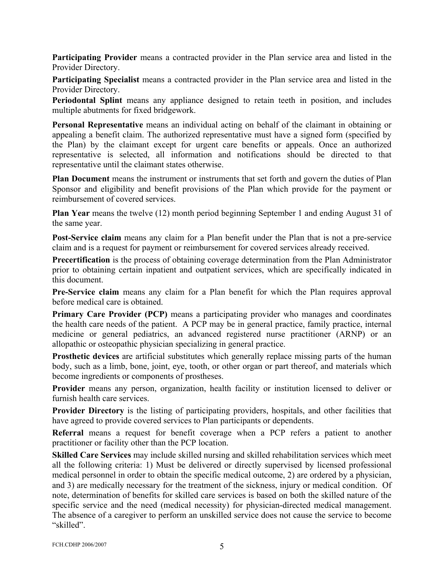**Participating Provider** means a contracted provider in the Plan service area and listed in the Provider Directory.

**Participating Specialist** means a contracted provider in the Plan service area and listed in the Provider Directory.

**Periodontal Splint** means any appliance designed to retain teeth in position, and includes multiple abutments for fixed bridgework.

**Personal Representative** means an individual acting on behalf of the claimant in obtaining or appealing a benefit claim. The authorized representative must have a signed form (specified by the Plan) by the claimant except for urgent care benefits or appeals. Once an authorized representative is selected, all information and notifications should be directed to that representative until the claimant states otherwise.

**Plan Document** means the instrument or instruments that set forth and govern the duties of Plan Sponsor and eligibility and benefit provisions of the Plan which provide for the payment or reimbursement of covered services.

**Plan Year** means the twelve (12) month period beginning September 1 and ending August 31 of the same year.

**Post-Service claim** means any claim for a Plan benefit under the Plan that is not a pre-service claim and is a request for payment or reimbursement for covered services already received.

**Precertification** is the process of obtaining coverage determination from the Plan Administrator prior to obtaining certain inpatient and outpatient services, which are specifically indicated in this document.

**Pre-Service claim** means any claim for a Plan benefit for which the Plan requires approval before medical care is obtained.

**Primary Care Provider (PCP)** means a participating provider who manages and coordinates the health care needs of the patient. A PCP may be in general practice, family practice, internal medicine or general pediatrics, an advanced registered nurse practitioner (ARNP) or an allopathic or osteopathic physician specializing in general practice.

**Prosthetic devices** are artificial substitutes which generally replace missing parts of the human body, such as a limb, bone, joint, eye, tooth, or other organ or part thereof, and materials which become ingredients or components of prostheses.

**Provider** means any person, organization, health facility or institution licensed to deliver or furnish health care services.

**Provider Directory** is the listing of participating providers, hospitals, and other facilities that have agreed to provide covered services to Plan participants or dependents.

**Referral** means a request for benefit coverage when a PCP refers a patient to another practitioner or facility other than the PCP location.

**Skilled Care Services** may include skilled nursing and skilled rehabilitation services which meet all the following criteria: 1) Must be delivered or directly supervised by licensed professional medical personnel in order to obtain the specific medical outcome, 2) are ordered by a physician, and 3) are medically necessary for the treatment of the sickness, injury or medical condition. Of note, determination of benefits for skilled care services is based on both the skilled nature of the specific service and the need (medical necessity) for physician-directed medical management. The absence of a caregiver to perform an unskilled service does not cause the service to become "skilled".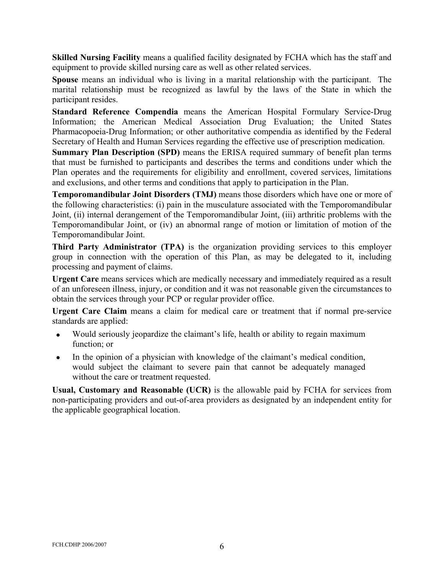**Skilled Nursing Facility** means a qualified facility designated by FCHA which has the staff and equipment to provide skilled nursing care as well as other related services.

**Spouse** means an individual who is living in a marital relationship with the participant. The marital relationship must be recognized as lawful by the laws of the State in which the participant resides.

**Standard Reference Compendia** means the American Hospital Formulary Service-Drug Information; the American Medical Association Drug Evaluation; the United States Pharmacopoeia-Drug Information; or other authoritative compendia as identified by the Federal Secretary of Health and Human Services regarding the effective use of prescription medication.

**Summary Plan Description (SPD)** means the ERISA required summary of benefit plan terms that must be furnished to participants and describes the terms and conditions under which the Plan operates and the requirements for eligibility and enrollment, covered services, limitations and exclusions, and other terms and conditions that apply to participation in the Plan.

**Temporomandibular Joint Disorders (TMJ)** means those disorders which have one or more of the following characteristics: (i) pain in the musculature associated with the Temporomandibular Joint, (ii) internal derangement of the Temporomandibular Joint, (iii) arthritic problems with the Temporomandibular Joint, or (iv) an abnormal range of motion or limitation of motion of the Temporomandibular Joint.

**Third Party Administrator (TPA)** is the organization providing services to this employer group in connection with the operation of this Plan, as may be delegated to it, including processing and payment of claims.

**Urgent Care** means services which are medically necessary and immediately required as a result of an unforeseen illness, injury, or condition and it was not reasonable given the circumstances to obtain the services through your PCP or regular provider office.

**Urgent Care Claim** means a claim for medical care or treatment that if normal pre-service standards are applied:

- Would seriously jeopardize the claimant's life, health or ability to regain maximum function; or
- In the opinion of a physician with knowledge of the claimant's medical condition, would subject the claimant to severe pain that cannot be adequately managed without the care or treatment requested.

**Usual, Customary and Reasonable (UCR)** is the allowable paid by FCHA for services from non-participating providers and out-of-area providers as designated by an independent entity for the applicable geographical location.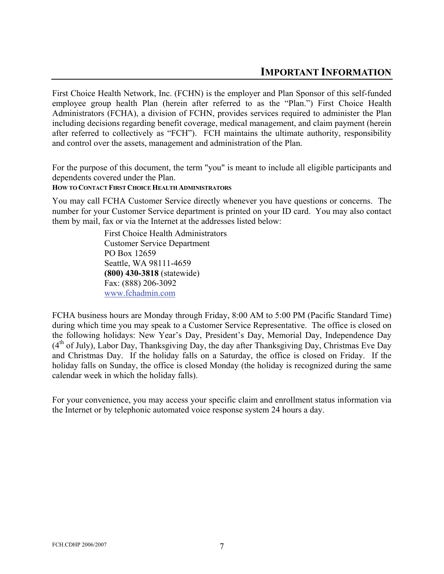<span id="page-9-0"></span>First Choice Health Network, Inc. (FCHN) is the employer and Plan Sponsor of this self-funded employee group health Plan (herein after referred to as the "Plan.") First Choice Health Administrators (FCHA), a division of FCHN, provides services required to administer the Plan including decisions regarding benefit coverage, medical management, and claim payment (herein after referred to collectively as "FCH"). FCH maintains the ultimate authority, responsibility and control over the assets, management and administration of the Plan.

For the purpose of this document, the term "you" is meant to include all eligible participants and dependents covered under the Plan.

## **HOW TO CONTACT FIRST CHOICE HEALTH ADMINISTRATORS**

You may call FCHA Customer Service directly whenever you have questions or concerns. The number for your Customer Service department is printed on your ID card. You may also contact them by mail, fax or via the Internet at the addresses listed below:

> First Choice Health Administrators Customer Service Department PO Box 12659 Seattle, WA 98111-4659 **(800) 430-3818** (statewide) Fax: (888) 206-3092 [www.fchadmin.com](http://www.fchadmin.com/)

FCHA business hours are Monday through Friday, 8:00 AM to 5:00 PM (Pacific Standard Time) during which time you may speak to a Customer Service Representative. The office is closed on the following holidays: New Year's Day, President's Day, Memorial Day, Independence Day  $(4<sup>th</sup>$  of July), Labor Day, Thanksgiving Day, the day after Thanksgiving Day, Christmas Eve Day and Christmas Day. If the holiday falls on a Saturday, the office is closed on Friday. If the holiday falls on Sunday, the office is closed Monday (the holiday is recognized during the same calendar week in which the holiday falls).

For your convenience, you may access your specific claim and enrollment status information via the Internet or by telephonic automated voice response system 24 hours a day.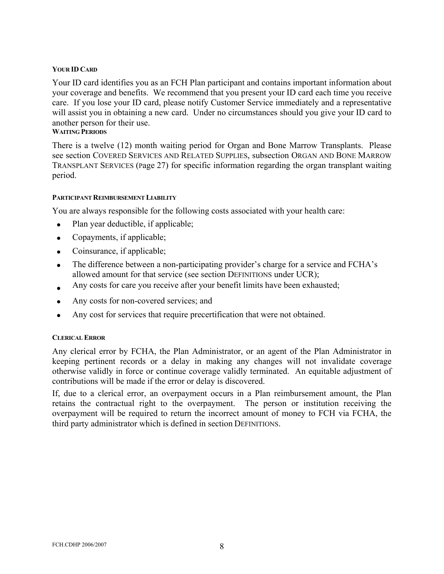## <span id="page-10-0"></span>**YOUR ID CARD**

Your ID card identifies you as an FCH Plan participant and contains important information about your coverage and benefits. We recommend that you present your ID card each time you receive care. If you lose your ID card, please notify Customer Service immediately and a representative will assist you in obtaining a new card. Under no circumstances should you give your ID card to another person for their use.

## **WAITING PERIODS**

There is a twelve (12) month waiting period for Organ and Bone Marrow Transplants. Please see section COVERED SERVICES AND RELATED SUPPLIES, subsection ORGAN AND BONE MARROW TRANSPLANT SERVICES (Page 27) for specific information regarding the organ transplant waiting period.

## **PARTICIPANT REIMBURSEMENT LIABILITY**

You are always responsible for the following costs associated with your health care:

- Plan year deductible, if applicable;
- Copayments, if applicable;
- Coinsurance, if applicable;
- The difference between a non-participating provider's charge for a service and FCHA's allowed amount for that service (see section DEFINITIONS under UCR);
- Any costs for care you receive after your benefit limits have been exhausted;
- Any costs for non-covered services; and
- Any cost for services that require precertification that were not obtained.

## **CLERICAL ERROR**

Any clerical error by FCHA, the Plan Administrator, or an agent of the Plan Administrator in keeping pertinent records or a delay in making any changes will not invalidate coverage otherwise validly in force or continue coverage validly terminated. An equitable adjustment of contributions will be made if the error or delay is discovered.

If, due to a clerical error, an overpayment occurs in a Plan reimbursement amount, the Plan retains the contractual right to the overpayment. The person or institution receiving the overpayment will be required to return the incorrect amount of money to FCH via FCHA, the third party administrator which is defined in section DEFINITIONS.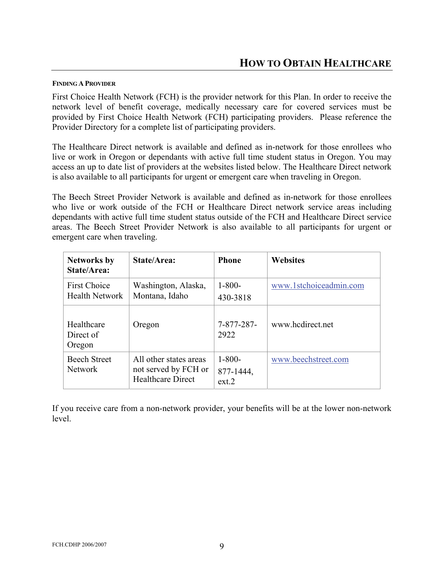## <span id="page-11-0"></span>**FINDING A PROVIDER**

First Choice Health Network (FCH) is the provider network for this Plan. In order to receive the network level of benefit coverage, medically necessary care for covered services must be provided by First Choice Health Network (FCH) participating providers. Please reference the Provider Directory for a complete list of participating providers.

The Healthcare Direct network is available and defined as in-network for those enrollees who live or work in Oregon or dependants with active full time student status in Oregon. You may access an up to date list of providers at the websites listed below. The Healthcare Direct network is also available to all participants for urgent or emergent care when traveling in Oregon.

The Beech Street Provider Network is available and defined as in-network for those enrollees who live or work outside of the FCH or Healthcare Direct network service areas including dependants with active full time student status outside of the FCH and Healthcare Direct service areas. The Beech Street Provider Network is also available to all participants for urgent or emergent care when traveling.

| <b>Networks by</b><br>State/Area:            | State/Area:                                                                | <b>Phone</b>                      | <b>Websites</b>        |
|----------------------------------------------|----------------------------------------------------------------------------|-----------------------------------|------------------------|
| <b>First Choice</b><br><b>Health Network</b> | Washington, Alaska,<br>Montana, Idaho                                      | $1 - 800 -$<br>430-3818           | www.1stchoiceadmin.com |
| Healthcare<br>Direct of<br>Oregon            | Oregon                                                                     | 7-877-287-<br>2922                | www.hedirect.net       |
| <b>Beech Street</b><br><b>Network</b>        | All other states areas<br>not served by FCH or<br><b>Healthcare Direct</b> | $1 - 800 -$<br>877-1444,<br>ext.2 | www.beechstreet.com    |

If you receive care from a non-network provider, your benefits will be at the lower non-network level.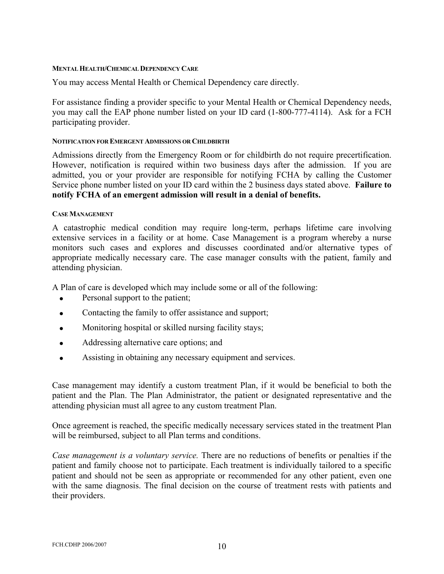#### <span id="page-12-0"></span>**MENTAL HEALTH/CHEMICAL DEPENDENCY CARE**

You may access Mental Health or Chemical Dependency care directly.

For assistance finding a provider specific to your Mental Health or Chemical Dependency needs, you may call the EAP phone number listed on your ID card (1-800-777-4114). Ask for a FCH participating provider.

## **NOTIFICATION FOR EMERGENT ADMISSIONS OR CHILDBIRTH**

Admissions directly from the Emergency Room or for childbirth do not require precertification. However, notification is required within two business days after the admission. If you are admitted, you or your provider are responsible for notifying FCHA by calling the Customer Service phone number listed on your ID card within the 2 business days stated above. **Failure to notify FCHA of an emergent admission will result in a denial of benefits.** 

#### **CASE MANAGEMENT**

A catastrophic medical condition may require long-term, perhaps lifetime care involving extensive services in a facility or at home. Case Management is a program whereby a nurse monitors such cases and explores and discusses coordinated and/or alternative types of appropriate medically necessary care. The case manager consults with the patient, family and attending physician.

A Plan of care is developed which may include some or all of the following:

- Personal support to the patient;
- Contacting the family to offer assistance and support;
- Monitoring hospital or skilled nursing facility stays;
- Addressing alternative care options; and
- Assisting in obtaining any necessary equipment and services.

Case management may identify a custom treatment Plan, if it would be beneficial to both the patient and the Plan. The Plan Administrator, the patient or designated representative and the attending physician must all agree to any custom treatment Plan.

Once agreement is reached, the specific medically necessary services stated in the treatment Plan will be reimbursed, subject to all Plan terms and conditions.

*Case management is a voluntary service.* There are no reductions of benefits or penalties if the patient and family choose not to participate. Each treatment is individually tailored to a specific patient and should not be seen as appropriate or recommended for any other patient, even one with the same diagnosis. The final decision on the course of treatment rests with patients and their providers.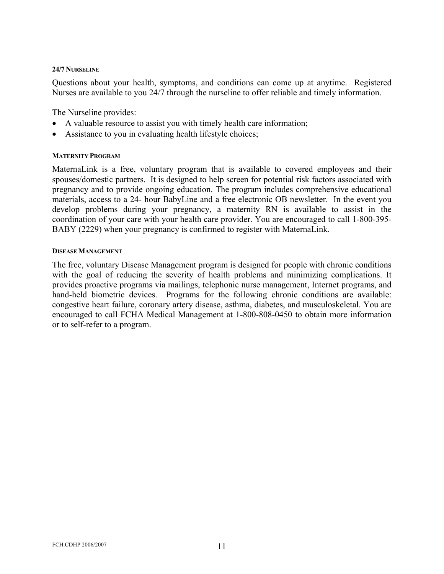#### <span id="page-13-0"></span>**24/7 NURSELINE**

Questions about your health, symptoms, and conditions can come up at anytime. Registered Nurses are available to you 24/7 through the nurseline to offer reliable and timely information.

The Nurseline provides:

- A valuable resource to assist you with timely health care information;
- Assistance to you in evaluating health lifestyle choices;

#### **MATERNITY PROGRAM**

MaternaLink is a free, voluntary program that is available to covered employees and their spouses/domestic partners. It is designed to help screen for potential risk factors associated with pregnancy and to provide ongoing education. The program includes comprehensive educational materials, access to a 24- hour BabyLine and a free electronic OB newsletter. In the event you develop problems during your pregnancy, a maternity RN is available to assist in the coordination of your care with your health care provider. You are encouraged to call 1-800-395- BABY (2229) when your pregnancy is confirmed to register with MaternaLink.

#### **DISEASE MANAGEMENT**

The free, voluntary Disease Management program is designed for people with chronic conditions with the goal of reducing the severity of health problems and minimizing complications. It provides proactive programs via mailings, telephonic nurse management, Internet programs, and hand-held biometric devices. Programs for the following chronic conditions are available: congestive heart failure, coronary artery disease, asthma, diabetes, and musculoskeletal. You are encouraged to call FCHA Medical Management at 1-800-808-0450 to obtain more information or to self-refer to a program.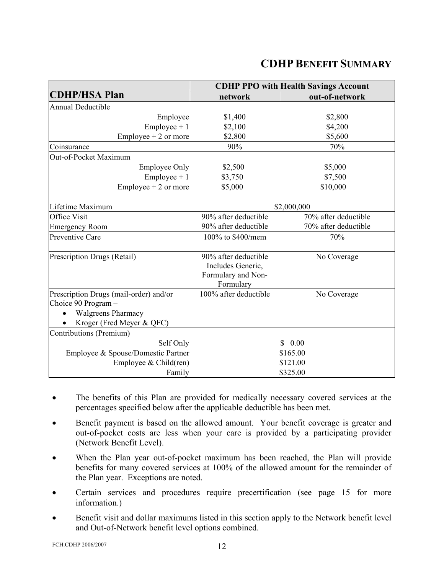# **CDHP BENEFIT SUMMARY**

<span id="page-14-0"></span>

|                                                               | <b>CDHP PPO with Health Savings Account</b> |                      |  |
|---------------------------------------------------------------|---------------------------------------------|----------------------|--|
| <b>CDHP/HSA Plan</b>                                          | network                                     | out-of-network       |  |
| <b>Annual Deductible</b>                                      |                                             |                      |  |
| Employee                                                      | \$1,400                                     | \$2,800              |  |
| $Employee + 1$                                                | \$2,100                                     | \$4,200              |  |
| Employee $+2$ or more                                         | \$2,800                                     | \$5,600              |  |
| Coinsurance                                                   | 90%                                         | 70%                  |  |
| Out-of-Pocket Maximum                                         |                                             |                      |  |
| <b>Employee Only</b>                                          | \$2,500                                     | \$5,000              |  |
| $Employee + 1$                                                | \$3,750                                     | \$7,500              |  |
| Employee $+2$ or more                                         | \$5,000                                     | \$10,000             |  |
|                                                               |                                             |                      |  |
| Lifetime Maximum                                              | \$2,000,000                                 |                      |  |
| <b>Office Visit</b>                                           | 90% after deductible                        | 70% after deductible |  |
| <b>Emergency Room</b>                                         | 90% after deductible                        | 70% after deductible |  |
| Preventive Care                                               | 100% to \$400/mem                           | 70%                  |  |
|                                                               |                                             |                      |  |
| Prescription Drugs (Retail)                                   | 90% after deductible                        | No Coverage          |  |
|                                                               | Includes Generic,                           |                      |  |
|                                                               | Formulary and Non-                          |                      |  |
|                                                               | Formulary                                   |                      |  |
| Prescription Drugs (mail-order) and/or<br>Choice 90 Program - | 100% after deductible                       | No Coverage          |  |
| <b>Walgreens Pharmacy</b>                                     |                                             |                      |  |
|                                                               |                                             |                      |  |
| Kroger (Fred Meyer & QFC)<br>Contributions (Premium)          |                                             |                      |  |
| Self Only                                                     |                                             | 0.00<br>$\mathbf{S}$ |  |
|                                                               |                                             | \$165.00             |  |
| Employee & Spouse/Domestic Partner                            |                                             | \$121.00             |  |
| Employee & Child(ren)                                         |                                             |                      |  |
| Family                                                        |                                             | \$325.00             |  |

- The benefits of this Plan are provided for medically necessary covered services at the percentages specified below after the applicable deductible has been met.
- Benefit payment is based on the allowed amount. Your benefit coverage is greater and out-of-pocket costs are less when your care is provided by a participating provider (Network Benefit Level).
- When the Plan year out-of-pocket maximum has been reached, the Plan will provide benefits for many covered services at 100% of the allowed amount for the remainder of the Plan year. Exceptions are noted.
- Certain services and procedures require precertification (see page 15 for more information.)
- Benefit visit and dollar maximums listed in this section apply to the Network benefit level and Out-of-Network benefit level options combined.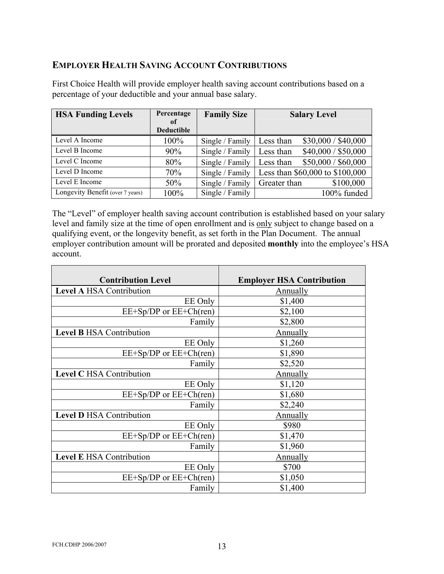## **EMPLOYER HEALTH SAVING ACCOUNT CONTRIBUTIONS**

First Choice Health will provide employer health saving account contributions based on a percentage of your deductible and your annual base salary.

| <b>HSA Funding Levels</b>        | Percentage        | <b>Family Size</b> | <b>Salary Level</b>              |
|----------------------------------|-------------------|--------------------|----------------------------------|
|                                  | of                |                    |                                  |
|                                  | <b>Deductible</b> |                    |                                  |
| Level A Income                   | 100%              | Single / Family    | \$30,000 / \$40,000<br>Less than |
| Level B Income                   | 90%               | Single / Family    | \$40,000 / \$50,000<br>Less than |
| Level C Income                   | 80%               | Single / Family    | \$50,000 / \$60,000<br>Less than |
| Level D Income                   | 70%               | Single / Family    | Less than \$60,000 to \$100,000  |
| Level E Income                   | 50%               | Single / Family    | \$100,000<br>Greater than        |
| Longevity Benefit (over 7 years) | 100%              | Single / Family    | 100% funded                      |

The "Level" of employer health saving account contribution is established based on your salary level and family size at the time of open enrollment and is only subject to change based on a qualifying event, or the longevity benefit, as set forth in the Plan Document. The annual employer contribution amount will be prorated and deposited **monthly** into the employee's HSA account.

| <b>Contribution Level</b>       | <b>Employer HSA Contribution</b> |
|---------------------------------|----------------------------------|
| <b>Level A HSA Contribution</b> | <b>Annually</b>                  |
| EE Only                         | \$1,400                          |
| $EE+Sp/DP$ or $EE+Ch (ren)$     | \$2,100                          |
| Family                          | \$2,800                          |
| <b>Level B HSA Contribution</b> | Annually                         |
| EE Only                         | \$1,260                          |
| $EE+Sp/DP$ or $EE+Ch (ren)$     | \$1,890                          |
| Family                          | \$2,520                          |
| <b>Level C HSA Contribution</b> | <b>Annually</b>                  |
| EE Only                         | \$1,120                          |
| $EE+Sp/DP$ or $EE+Ch (ren)$     | \$1,680                          |
| Family                          | \$2,240                          |
| <b>Level D HSA Contribution</b> | Annually                         |
| EE Only                         | \$980                            |
| $EE+Sp/DP$ or $EE+Ch (ren)$     | \$1,470                          |
| Family                          | \$1,960                          |
| <b>Level E HSA Contribution</b> | <u>Annually</u>                  |
| EE Only                         | \$700                            |
| $EE+Sp/DP$ or $EE+Ch (ren)$     | \$1,050                          |
| Family                          | \$1,400                          |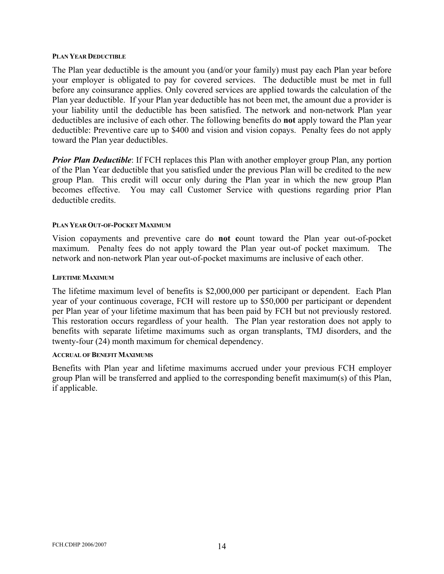#### <span id="page-16-0"></span>**PLAN YEAR DEDUCTIBLE**

The Plan year deductible is the amount you (and/or your family) must pay each Plan year before your employer is obligated to pay for covered services. The deductible must be met in full before any coinsurance applies. Only covered services are applied towards the calculation of the Plan year deductible. If your Plan year deductible has not been met, the amount due a provider is your liability until the deductible has been satisfied. The network and non-network Plan year deductibles are inclusive of each other. The following benefits do **not** apply toward the Plan year deductible: Preventive care up to \$400 and vision and vision copays. Penalty fees do not apply toward the Plan year deductibles.

*Prior Plan Deductible*: If FCH replaces this Plan with another employer group Plan, any portion of the Plan Year deductible that you satisfied under the previous Plan will be credited to the new group Plan. This credit will occur only during the Plan year in which the new group Plan becomes effective. You may call Customer Service with questions regarding prior Plan deductible credits.

#### **PLAN YEAR OUT-OF-POCKET MAXIMUM**

Vision copayments and preventive care do **not c**ount toward the Plan year out-of-pocket maximum. Penalty fees do not apply toward the Plan year out-of pocket maximum. The network and non-network Plan year out-of-pocket maximums are inclusive of each other.

#### **LIFETIME MAXIMUM**

The lifetime maximum level of benefits is \$2,000,000 per participant or dependent. Each Plan year of your continuous coverage, FCH will restore up to \$50,000 per participant or dependent per Plan year of your lifetime maximum that has been paid by FCH but not previously restored. This restoration occurs regardless of your health. The Plan year restoration does not apply to benefits with separate lifetime maximums such as organ transplants, TMJ disorders, and the twenty-four (24) month maximum for chemical dependency.

#### **ACCRUAL OF BENEFIT MAXIMUMS**

Benefits with Plan year and lifetime maximums accrued under your previous FCH employer group Plan will be transferred and applied to the corresponding benefit maximum(s) of this Plan, if applicable.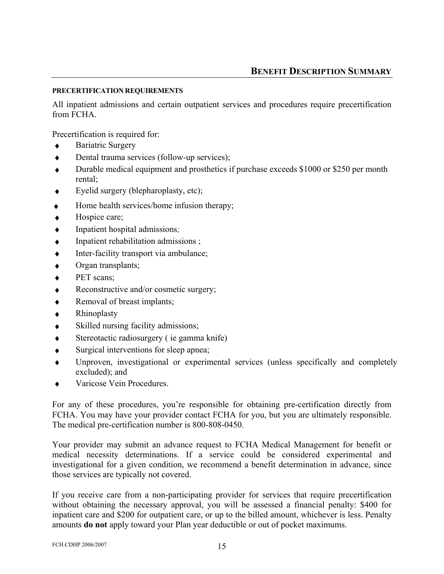## <span id="page-17-0"></span>**PRECERTIFICATION REQUIREMENTS**

All inpatient admissions and certain outpatient services and procedures require precertification from FCHA.

Precertification is required for:

- **Bariatric Surgery**
- ◆ Dental trauma services (follow-up services);
- Durable medical equipment and prosthetics if purchase exceeds \$1000 or \$250 per month rental;
- ♦ Eyelid surgery (blepharoplasty, etc);
- $\bullet$  Home health services/home infusion therapy;
- ♦ Hospice care;
- ♦ Inpatient hospital admissions*;*
- $\bullet$  Inpatient rehabilitation admissions ;
- ♦ Inter-facility transport via ambulance;
- ♦ Organ transplants;
- PET scans;
- ♦ Reconstructive and/or cosmetic surgery;
- ♦ Removal of breast implants;
- **Rhinoplasty**
- ♦ Skilled nursing facility admissions;
- ♦ Stereotactic radiosurgery ( ie gamma knife)
- ♦ Surgical interventions for sleep apnea;
- Unproven, investigational or experimental services (unless specifically and completely excluded); and
- Varicose Vein Procedures.

For any of these procedures, you're responsible for obtaining pre-certification directly from FCHA. You may have your provider contact FCHA for you, but you are ultimately responsible. The medical pre-certification number is 800-808-0450.

Your provider may submit an advance request to FCHA Medical Management for benefit or medical necessity determinations. If a service could be considered experimental and investigational for a given condition, we recommend a benefit determination in advance, since those services are typically not covered.

If you receive care from a non-participating provider for services that require precertification without obtaining the necessary approval, you will be assessed a financial penalty: \$400 for inpatient care and \$200 for outpatient care, or up to the billed amount, whichever is less. Penalty amounts **do not** apply toward your Plan year deductible or out of pocket maximums.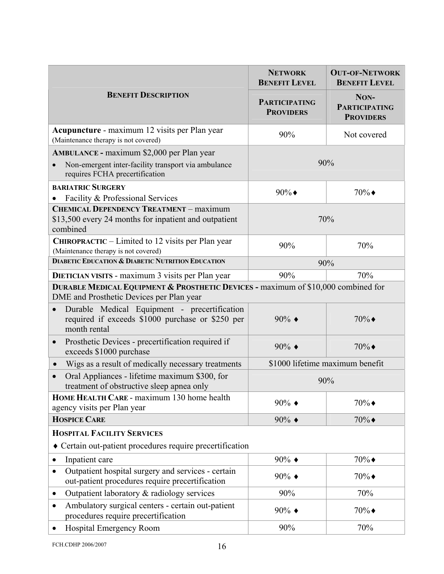<span id="page-18-0"></span>

|                                                                                                                               | <b>NETWORK</b><br><b>BENEFIT LEVEL</b>   | <b>OUT-OF-NETWORK</b><br><b>BENEFIT LEVEL</b>    |
|-------------------------------------------------------------------------------------------------------------------------------|------------------------------------------|--------------------------------------------------|
| <b>BENEFIT DESCRIPTION</b>                                                                                                    | <b>PARTICIPATING</b><br><b>PROVIDERS</b> | NON-<br><b>PARTICIPATING</b><br><b>PROVIDERS</b> |
| Acupuncture - maximum 12 visits per Plan year<br>(Maintenance therapy is not covered)                                         | 90%                                      | Not covered                                      |
| <b>AMBULANCE - maximum \$2,000 per Plan year</b>                                                                              |                                          |                                                  |
| Non-emergent inter-facility transport via ambulance<br>requires FCHA precertification                                         |                                          | 90%                                              |
| <b>BARIATRIC SURGERY</b>                                                                                                      | $90\%$                                   | $70\%$                                           |
| Facility & Professional Services                                                                                              |                                          |                                                  |
| <b>CHEMICAL DEPENDENCY TREATMENT - maximum</b><br>\$13,500 every 24 months for inpatient and outpatient<br>combined           | 70%                                      |                                                  |
| CHIROPRACTIC – Limited to 12 visits per Plan year<br>(Maintenance therapy is not covered)                                     | 90%                                      | 70%                                              |
| <b>DIABETIC EDUCATION &amp; DIABETIC NUTRITION EDUCATION</b>                                                                  | 90%                                      |                                                  |
| <b>DIETICIAN VISITS</b> - maximum 3 visits per Plan year                                                                      | 90%                                      | 70%                                              |
| DURABLE MEDICAL EQUIPMENT & PROSTHETIC DEVICES - maximum of \$10,000 combined for<br>DME and Prosthetic Devices per Plan year |                                          |                                                  |
| Durable Medical Equipment - precertification<br>$\bullet$<br>required if exceeds \$1000 purchase or \$250 per<br>month rental | $90\%$ $\triangleleft$                   | $70\%$                                           |
| Prosthetic Devices - precertification required if<br>$\bullet$<br>exceeds \$1000 purchase                                     | $90\%$ $\triangleleft$                   | $70\%$                                           |
| Wigs as a result of medically necessary treatments<br>$\bullet$                                                               | \$1000 lifetime maximum benefit          |                                                  |
| Oral Appliances - lifetime maximum \$300, for<br>treatment of obstructive sleep apnea only                                    | 90%                                      |                                                  |
| HOME HEALTH CARE - maximum 130 home health<br>agency visits per Plan year                                                     | $90\%$ $\triangleleft$                   | $70\%$                                           |
| <b>HOSPICE CARE</b>                                                                                                           | 90% $\bullet$                            | $70\%$                                           |
| <b>HOSPITAL FACILITY SERVICES</b>                                                                                             |                                          |                                                  |
| Certain out-patient procedures require precertification                                                                       |                                          |                                                  |
| Inpatient care                                                                                                                | $90\%$ $\triangleleft$                   | $70\%$                                           |
| Outpatient hospital surgery and services - certain<br>$\bullet$<br>out-patient procedures require precertification            | 90% $\bullet$                            | $70\%$                                           |
| Outpatient laboratory & radiology services<br>$\bullet$                                                                       | 90%                                      | 70%                                              |
| Ambulatory surgical centers - certain out-patient<br>$\bullet$<br>procedures require precertification                         | $90\%$ $\triangleleft$                   | $70\%$                                           |
| Hospital Emergency Room                                                                                                       | 90%                                      | 70%                                              |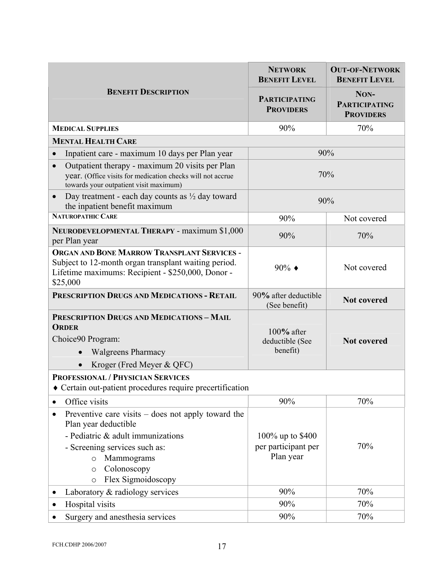<span id="page-19-0"></span>

|                                                                                                                                                                                                                                        | <b>NETWORK</b><br><b>BENEFIT LEVEL</b>               | <b>OUT-OF-NETWORK</b><br><b>BENEFIT LEVEL</b>    |
|----------------------------------------------------------------------------------------------------------------------------------------------------------------------------------------------------------------------------------------|------------------------------------------------------|--------------------------------------------------|
| <b>BENEFIT DESCRIPTION</b>                                                                                                                                                                                                             | <b>PARTICIPATING</b><br><b>PROVIDERS</b>             | NON-<br><b>PARTICIPATING</b><br><b>PROVIDERS</b> |
| <b>MEDICAL SUPPLIES</b>                                                                                                                                                                                                                | 90%                                                  | 70%                                              |
| <b>MENTAL HEALTH CARE</b>                                                                                                                                                                                                              |                                                      |                                                  |
| Inpatient care - maximum 10 days per Plan year<br>$\bullet$                                                                                                                                                                            |                                                      | 90%                                              |
| Outpatient therapy - maximum 20 visits per Plan<br>$\bullet$<br>year. (Office visits for medication checks will not accrue<br>towards your outpatient visit maximum)                                                                   | 70%                                                  |                                                  |
| Day treatment - each day counts as $\frac{1}{2}$ day toward<br>$\bullet$<br>the inpatient benefit maximum                                                                                                                              | 90%                                                  |                                                  |
| NATUROPATHIC CARE                                                                                                                                                                                                                      | 90%                                                  | Not covered                                      |
| NEURODEVELOPMENTAL THERAPY - maximum \$1,000<br>per Plan year                                                                                                                                                                          | 90%                                                  | 70%                                              |
| <b>ORGAN AND BONE MARROW TRANSPLANT SERVICES -</b><br>Subject to 12-month organ transplant waiting period.<br>Lifetime maximums: Recipient - \$250,000, Donor -<br>\$25,000                                                            | $90\%$ $\triangleleft$                               | Not covered                                      |
| PRESCRIPTION DRUGS AND MEDICATIONS - RETAIL                                                                                                                                                                                            | 90% after deductible<br>(See benefit)                | <b>Not covered</b>                               |
| <b>PRESCRIPTION DRUGS AND MEDICATIONS - MAIL</b><br><b>ORDER</b><br>Choice90 Program:<br><b>Walgreens Pharmacy</b><br>Kroger (Fred Meyer & QFC)                                                                                        | $100\%$ after<br>deductible (See<br>benefit)         | <b>Not covered</b>                               |
| PROFESSIONAL / PHYSICIAN SERVICES                                                                                                                                                                                                      |                                                      |                                                  |
| Certain out-patient procedures require precertification                                                                                                                                                                                |                                                      |                                                  |
| Office visits                                                                                                                                                                                                                          | 90%                                                  | 70%                                              |
| Preventive care visits $-$ does not apply toward the<br>Plan year deductible<br>- Pediatric & adult immunizations<br>- Screening services such as:<br>Mammograms<br>$\circ$<br>Colonoscopy<br>$\circ$<br>Flex Sigmoidoscopy<br>$\circ$ | 100% up to \$400<br>per participant per<br>Plan year | 70%                                              |
| Laboratory & radiology services                                                                                                                                                                                                        | 90%                                                  | 70%                                              |
| Hospital visits                                                                                                                                                                                                                        | 90%                                                  | 70%                                              |
| Surgery and anesthesia services                                                                                                                                                                                                        | 90%                                                  | 70%                                              |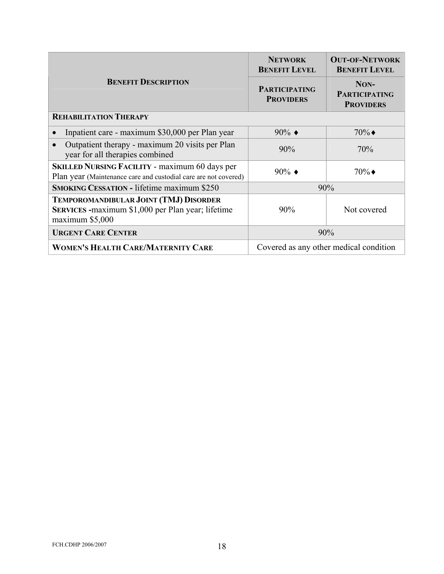<span id="page-20-0"></span>

|                                                                                                                          | <b>NETWORK</b><br><b>BENEFIT LEVEL</b>   | <b>OUT-OF-NETWORK</b><br><b>BENEFIT LEVEL</b>    |  |
|--------------------------------------------------------------------------------------------------------------------------|------------------------------------------|--------------------------------------------------|--|
| <b>BENEFIT DESCRIPTION</b>                                                                                               | <b>PARTICIPATING</b><br><b>PROVIDERS</b> | NON-<br><b>PARTICIPATING</b><br><b>PROVIDERS</b> |  |
| <b>REHABILITATION THERAPY</b>                                                                                            |                                          |                                                  |  |
| Inpatient care - maximum \$30,000 per Plan year                                                                          | $90\%$ $\triangleleft$                   | $70\%$                                           |  |
| Outpatient therapy - maximum 20 visits per Plan<br>year for all therapies combined                                       | 90%                                      | 70%                                              |  |
| <b>SKILLED NURSING FACILITY - maximum 60 days per</b><br>Plan year (Maintenance care and custodial care are not covered) | $90\%$ $\triangleleft$                   | $70\%$                                           |  |
| <b>SMOKING CESSATION - lifetime maximum \$250</b>                                                                        | 90%                                      |                                                  |  |
| TEMPOROMANDIBULAR JOINT (TMJ) DISORDER<br>SERVICES - maximum \$1,000 per Plan year; lifetime<br>maximum \$5,000          | 90%                                      | Not covered                                      |  |
| <b>URGENT CARE CENTER</b>                                                                                                | 90%                                      |                                                  |  |
| WOMEN'S HEALTH CARE/MATERNITY CARE                                                                                       | Covered as any other medical condition   |                                                  |  |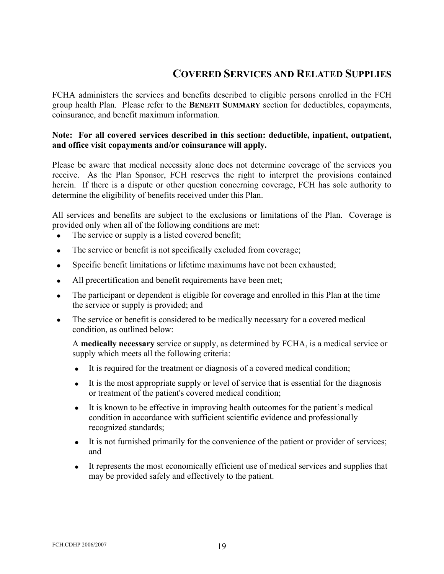# **COVERED SERVICES AND RELATED SUPPLIES**

<span id="page-21-0"></span>FCHA administers the services and benefits described to eligible persons enrolled in the FCH group health Plan. Please refer to the **BENEFIT SUMMARY** section for deductibles, copayments, coinsurance, and benefit maximum information.

## **Note: For all covered services described in this section: deductible, inpatient, outpatient, and office visit copayments and/or coinsurance will apply.**

Please be aware that medical necessity alone does not determine coverage of the services you receive. As the Plan Sponsor, FCH reserves the right to interpret the provisions contained herein. If there is a dispute or other question concerning coverage, FCH has sole authority to determine the eligibility of benefits received under this Plan.

All services and benefits are subject to the exclusions or limitations of the Plan. Coverage is provided only when all of the following conditions are met:

- The service or supply is a listed covered benefit;
- The service or benefit is not specifically excluded from coverage;
- Specific benefit limitations or lifetime maximums have not been exhausted;
- All precertification and benefit requirements have been met;
- The participant or dependent is eligible for coverage and enrolled in this Plan at the time the service or supply is provided; and
- The service or benefit is considered to be medically necessary for a covered medical condition, as outlined below:

A **medically necessary** service or supply, as determined by FCHA, is a medical service or supply which meets all the following criteria:

- It is required for the treatment or diagnosis of a covered medical condition;
- It is the most appropriate supply or level of service that is essential for the diagnosis or treatment of the patient's covered medical condition;
- It is known to be effective in improving health outcomes for the patient's medical condition in accordance with sufficient scientific evidence and professionally recognized standards;
- It is not furnished primarily for the convenience of the patient or provider of services; and
- It represents the most economically efficient use of medical services and supplies that may be provided safely and effectively to the patient.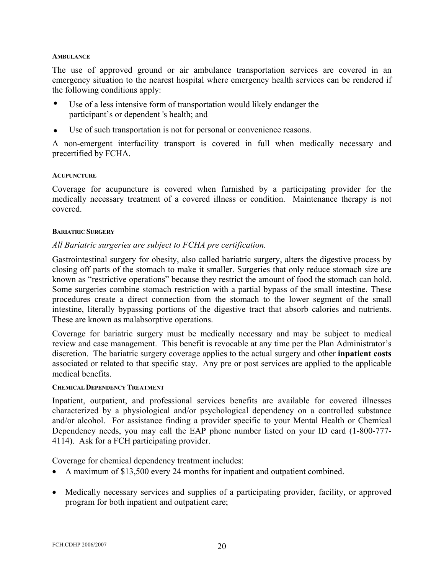#### <span id="page-22-0"></span>**AMBULANCE**

The use of approved ground or air ambulance transportation services are covered in an emergency situation to the nearest hospital where emergency health services can be rendered if the following conditions apply:

- Use of a less intensive form of transportation would likely endanger the participant's or dependent 's health; and
- Use of such transportation is not for personal or convenience reasons.

A non-emergent interfacility transport is covered in full when medically necessary and precertified by FCHA.

## **ACUPUNCTURE**

Coverage for acupuncture is covered when furnished by a participating provider for the medically necessary treatment of a covered illness or condition. Maintenance therapy is not covered.

## **BARIATRIC SURGERY**

## *All Bariatric surgeries are subject to FCHA pre certification.*

Gastrointestinal surgery for obesity, also called bariatric surgery, alters the digestive process by closing off parts of the stomach to make it smaller. Surgeries that only reduce stomach size are known as "restrictive operations" because they restrict the amount of food the stomach can hold. Some surgeries combine stomach restriction with a partial bypass of the small intestine. These procedures create a direct connection from the stomach to the lower segment of the small intestine, literally bypassing portions of the digestive tract that absorb calories and nutrients. These are known as malabsorptive operations.

Coverage for bariatric surgery must be medically necessary and may be subject to medical review and case management. This benefit is revocable at any time per the Plan Administrator's discretion. The bariatric surgery coverage applies to the actual surgery and other **inpatient costs** associated or related to that specific stay. Any pre or post services are applied to the applicable medical benefits.

## **CHEMICAL DEPENDENCY TREATMENT**

Inpatient, outpatient, and professional services benefits are available for covered illnesses characterized by a physiological and/or psychological dependency on a controlled substance and/or alcohol. For assistance finding a provider specific to your Mental Health or Chemical Dependency needs, you may call the EAP phone number listed on your ID card (1-800-777- 4114). Ask for a FCH participating provider.

Coverage for chemical dependency treatment includes:

- A maximum of \$13,500 every 24 months for inpatient and outpatient combined.
- Medically necessary services and supplies of a participating provider, facility, or approved program for both inpatient and outpatient care;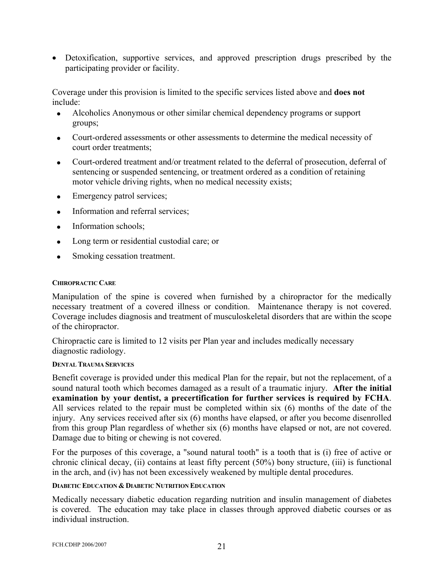<span id="page-23-0"></span>• Detoxification, supportive services, and approved prescription drugs prescribed by the participating provider or facility.

Coverage under this provision is limited to the specific services listed above and **does not** include:

- Alcoholics Anonymous or other similar chemical dependency programs or support groups;
- Court-ordered assessments or other assessments to determine the medical necessity of court order treatments;
- Court-ordered treatment and/or treatment related to the deferral of prosecution, deferral of sentencing or suspended sentencing, or treatment ordered as a condition of retaining motor vehicle driving rights, when no medical necessity exists;
- Emergency patrol services;
- Information and referral services;
- Information schools;
- Long term or residential custodial care; or
- Smoking cessation treatment.

## **CHIROPRACTIC CARE**

Manipulation of the spine is covered when furnished by a chiropractor for the medically necessary treatment of a covered illness or condition. Maintenance therapy is not covered. Coverage includes diagnosis and treatment of musculoskeletal disorders that are within the scope of the chiropractor.

Chiropractic care is limited to 12 visits per Plan year and includes medically necessary diagnostic radiology.

#### **DENTAL TRAUMA SERVICES**

Benefit coverage is provided under this medical Plan for the repair, but not the replacement, of a sound natural tooth which becomes damaged as a result of a traumatic injury. **After the initial examination by your dentist, a precertification for further services is required by FCHA**. All services related to the repair must be completed within six (6) months of the date of the injury. Any services received after six (6) months have elapsed, or after you become disenrolled from this group Plan regardless of whether six (6) months have elapsed or not, are not covered. Damage due to biting or chewing is not covered.

For the purposes of this coverage, a "sound natural tooth" is a tooth that is (i) free of active or chronic clinical decay, (ii) contains at least fifty percent (50%) bony structure, (iii) is functional in the arch, and (iv) has not been excessively weakened by multiple dental procedures.

#### **DIABETIC EDUCATION & DIABETIC NUTRITION EDUCATION**

Medically necessary diabetic education regarding nutrition and insulin management of diabetes is covered. The education may take place in classes through approved diabetic courses or as individual instruction.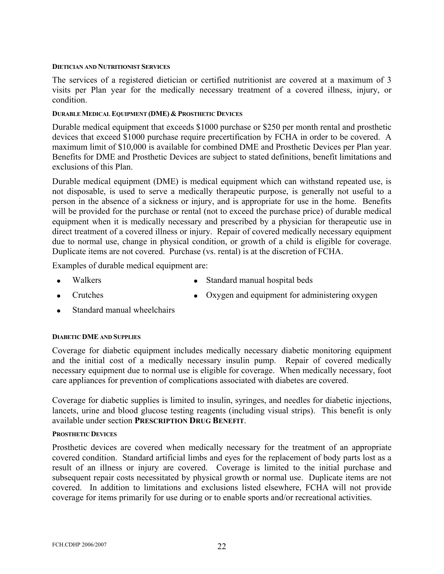#### <span id="page-24-0"></span>**DIETICIAN AND NUTRITIONIST SERVICES**

The services of a registered dietician or certified nutritionist are covered at a maximum of 3 visits per Plan year for the medically necessary treatment of a covered illness, injury, or condition.

#### **DURABLE MEDICAL EQUIPMENT (DME) & PROSTHETIC DEVICES**

Durable medical equipment that exceeds \$1000 purchase or \$250 per month rental and prosthetic devices that exceed \$1000 purchase require precertification by FCHA in order to be covered. A maximum limit of \$10,000 is available for combined DME and Prosthetic Devices per Plan year. Benefits for DME and Prosthetic Devices are subject to stated definitions, benefit limitations and exclusions of this Plan.

Durable medical equipment (DME) is medical equipment which can withstand repeated use, is not disposable, is used to serve a medically therapeutic purpose, is generally not useful to a person in the absence of a sickness or injury, and is appropriate for use in the home. Benefits will be provided for the purchase or rental (not to exceed the purchase price) of durable medical equipment when it is medically necessary and prescribed by a physician for therapeutic use in direct treatment of a covered illness or injury. Repair of covered medically necessary equipment due to normal use, change in physical condition, or growth of a child is eligible for coverage. Duplicate items are not covered. Purchase (vs. rental) is at the discretion of FCHA.

Examples of durable medical equipment are:

- Walkers Standard manual hospital beds
	- Oxygen and equipment for administering oxygen
- Standard manual wheelchairs

## **DIABETIC DME AND SUPPLIES**

• Crutches

Coverage for diabetic equipment includes medically necessary diabetic monitoring equipment and the initial cost of a medically necessary insulin pump. Repair of covered medically necessary equipment due to normal use is eligible for coverage. When medically necessary, foot care appliances for prevention of complications associated with diabetes are covered.

Coverage for diabetic supplies is limited to insulin, syringes, and needles for diabetic injections, lancets, urine and blood glucose testing reagents (including visual strips). This benefit is only available under section **PRESCRIPTION DRUG BENEFIT**.

#### **PROSTHETIC DEVICES**

Prosthetic devices are covered when medically necessary for the treatment of an appropriate covered condition. Standard artificial limbs and eyes for the replacement of body parts lost as a result of an illness or injury are covered. Coverage is limited to the initial purchase and subsequent repair costs necessitated by physical growth or normal use. Duplicate items are not covered. In addition to limitations and exclusions listed elsewhere, FCHA will not provide coverage for items primarily for use during or to enable sports and/or recreational activities.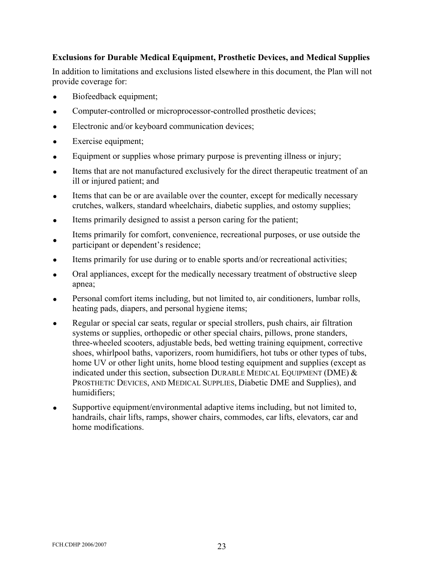## **Exclusions for Durable Medical Equipment, Prosthetic Devices, and Medical Supplies**

In addition to limitations and exclusions listed elsewhere in this document, the Plan will not provide coverage for:

- Biofeedback equipment;
- Computer-controlled or microprocessor-controlled prosthetic devices;
- Electronic and/or keyboard communication devices;
- Exercise equipment;
- Equipment or supplies whose primary purpose is preventing illness or injury;
- Items that are not manufactured exclusively for the direct therapeutic treatment of an ill or injured patient; and
- Items that can be or are available over the counter, except for medically necessary crutches, walkers, standard wheelchairs, diabetic supplies, and ostomy supplies;
- Items primarily designed to assist a person caring for the patient;
- Items primarily for comfort, convenience, recreational purposes, or use outside the participant or dependent's residence;
- Items primarily for use during or to enable sports and/or recreational activities;
- Oral appliances, except for the medically necessary treatment of obstructive sleep apnea;
- Personal comfort items including, but not limited to, air conditioners, lumbar rolls, heating pads, diapers, and personal hygiene items;
- Regular or special car seats, regular or special strollers, push chairs, air filtration systems or supplies, orthopedic or other special chairs, pillows, prone standers, three-wheeled scooters, adjustable beds, bed wetting training equipment, corrective shoes, whirlpool baths, vaporizers, room humidifiers, hot tubs or other types of tubs, home UV or other light units, home blood testing equipment and supplies (except as indicated under this section, subsection DURABLE MEDICAL EQUIPMENT (DME)  $&$ PROSTHETIC DEVICES, AND MEDICAL SUPPLIES, Diabetic DME and Supplies), and humidifiers;
- Supportive equipment/environmental adaptive items including, but not limited to, handrails, chair lifts, ramps, shower chairs, commodes, car lifts, elevators, car and home modifications.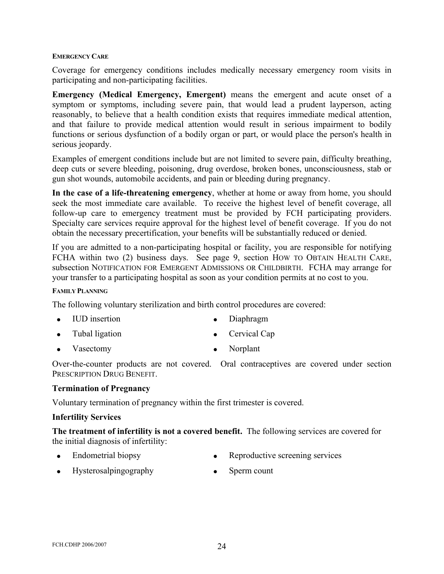#### <span id="page-26-0"></span>**EMERGENCY CARE**

Coverage for emergency conditions includes medically necessary emergency room visits in participating and non-participating facilities.

**Emergency (Medical Emergency, Emergent)** means the emergent and acute onset of a symptom or symptoms, including severe pain, that would lead a prudent layperson, acting reasonably, to believe that a health condition exists that requires immediate medical attention, and that failure to provide medical attention would result in serious impairment to bodily functions or serious dysfunction of a bodily organ or part, or would place the person's health in serious jeopardy.

Examples of emergent conditions include but are not limited to severe pain, difficulty breathing, deep cuts or severe bleeding, poisoning, drug overdose, broken bones, unconsciousness, stab or gun shot wounds, automobile accidents, and pain or bleeding during pregnancy.

**In the case of a life-threatening emergency**, whether at home or away from home, you should seek the most immediate care available. To receive the highest level of benefit coverage, all follow-up care to emergency treatment must be provided by FCH participating providers. Specialty care services require approval for the highest level of benefit coverage. If you do not obtain the necessary precertification, your benefits will be substantially reduced or denied.

If you are admitted to a non-participating hospital or facility, you are responsible for notifying FCHA within two (2) business days. See page 9, section HOW TO OBTAIN HEALTH CARE, subsection NOTIFICATION FOR EMERGENT ADMISSIONS OR CHILDBIRTH. FCHA may arrange for your transfer to a participating hospital as soon as your condition permits at no cost to you.

#### **FAMILY PLANNING**

The following voluntary sterilization and birth control procedures are covered:

- IUD insertion Diaphragm
- Tubal ligation Cervical Cap
- Vasectomy Norplant

Over-the-counter products are not covered. Oral contraceptives are covered under section PRESCRIPTION DRUG BENEFIT.

#### **Termination of Pregnancy**

Voluntary termination of pregnancy within the first trimester is covered.

#### **Infertility Services**

**The treatment of infertility is not a covered benefit.** The following services are covered for the initial diagnosis of infertility:

- Endometrial biopsy Reproductive screening services
- Hysterosalpingography Sperm count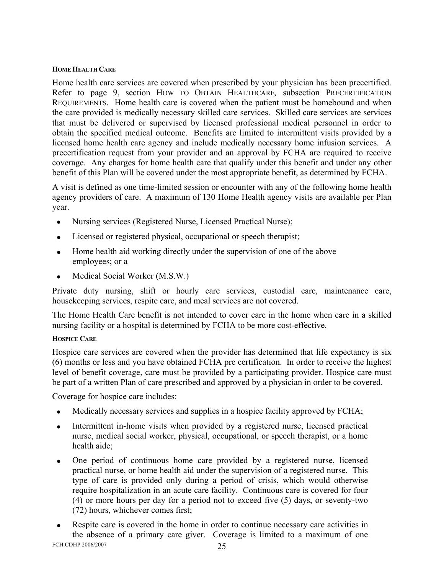## <span id="page-27-0"></span>**HOME HEALTH CARE**

Home health care services are covered when prescribed by your physician has been precertified. Refer to page 9, section HOW TO OBTAIN HEALTHCARE*,* subsection PRECERTIFICATION REQUIREMENTS. Home health care is covered when the patient must be homebound and when the care provided is medically necessary skilled care services. Skilled care services are services that must be delivered or supervised by licensed professional medical personnel in order to obtain the specified medical outcome. Benefits are limited to intermittent visits provided by a licensed home health care agency and include medically necessary home infusion services. A precertification request from your provider and an approval by FCHA are required to receive coverage. Any charges for home health care that qualify under this benefit and under any other benefit of this Plan will be covered under the most appropriate benefit, as determined by FCHA.

A visit is defined as one time-limited session or encounter with any of the following home health agency providers of care. A maximum of 130 Home Health agency visits are available per Plan year.

- Nursing services (Registered Nurse, Licensed Practical Nurse);
- Licensed or registered physical, occupational or speech therapist;
- Home health aid working directly under the supervision of one of the above employees; or a
- Medical Social Worker (M.S.W.)

Private duty nursing, shift or hourly care services, custodial care, maintenance care, housekeeping services, respite care, and meal services are not covered.

The Home Health Care benefit is not intended to cover care in the home when care in a skilled nursing facility or a hospital is determined by FCHA to be more cost-effective.

## **HOSPICE CARE**

Hospice care services are covered when the provider has determined that life expectancy is six (6) months or less and you have obtained FCHA pre certification. In order to receive the highest level of benefit coverage, care must be provided by a participating provider. Hospice care must be part of a written Plan of care prescribed and approved by a physician in order to be covered.

Coverage for hospice care includes:

- Medically necessary services and supplies in a hospice facility approved by FCHA;
- Intermittent in-home visits when provided by a registered nurse, licensed practical nurse, medical social worker, physical, occupational, or speech therapist, or a home health aide;
- One period of continuous home care provided by a registered nurse, licensed practical nurse, or home health aid under the supervision of a registered nurse. This type of care is provided only during a period of crisis, which would otherwise require hospitalization in an acute care facility. Continuous care is covered for four (4) or more hours per day for a period not to exceed five (5) days, or seventy-two (72) hours, whichever comes first;
- FCH.CDHP 2006/2007 25 • Respite care is covered in the home in order to continue necessary care activities in the absence of a primary care giver. Coverage is limited to a maximum of one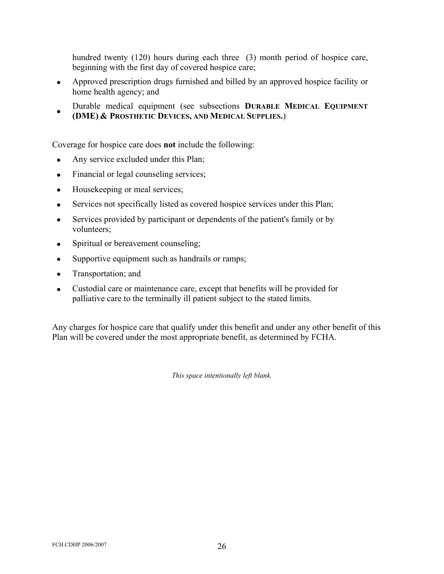hundred twenty (120) hours during each three (3) month period of hospice care, beginning with the first day of covered hospice care;

- Approved prescription drugs furnished and billed by an approved hospice facility or home health agency; and
- Durable medical equipment (see subsections **DURABLE MEDICAL EQUIPMENT (DME) & PROSTHETIC DEVICES, AND MEDICAL SUPPLIES.**)

Coverage for hospice care does **not** include the following:

- Any service excluded under this Plan;
- Financial or legal counseling services;
- Housekeeping or meal services;
- Services not specifically listed as covered hospice services under this Plan;
- Services provided by participant or dependents of the patient's family or by volunteers;
- Spiritual or bereavement counseling;
- Supportive equipment such as handrails or ramps;
- Transportation; and
- Custodial care or maintenance care, except that benefits will be provided for palliative care to the terminally ill patient subject to the stated limits.

Any charges for hospice care that qualify under this benefit and under any other benefit of this Plan will be covered under the most appropriate benefit, as determined by FCHA.

*This space intentionally left blank.*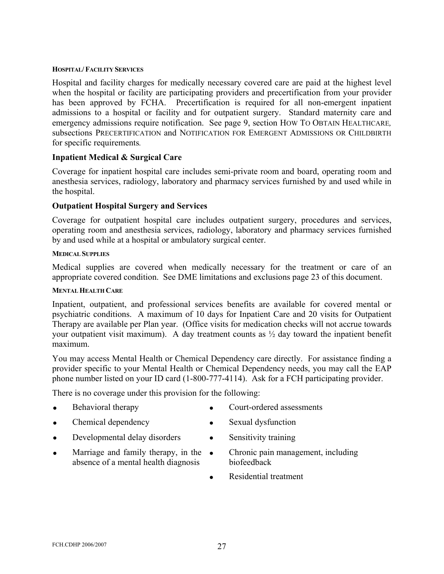#### <span id="page-29-0"></span>**HOSPITAL/ FACILITY SERVICES**

Hospital and facility charges for medically necessary covered care are paid at the highest level when the hospital or facility are participating providers and precertification from your provider has been approved by FCHA. Precertification is required for all non-emergent inpatient admissions to a hospital or facility and for outpatient surgery. Standard maternity care and emergency admissions require notification. See page 9, section HOW TO OBTAIN HEALTHCARE*,*  subsections PRECERTIFICATION and NOTIFICATION FOR EMERGENT ADMISSIONS OR CHILDBIRTH for specific requirements*.*

## **Inpatient Medical & Surgical Care**

Coverage for inpatient hospital care includes semi-private room and board, operating room and anesthesia services, radiology, laboratory and pharmacy services furnished by and used while in the hospital.

## **Outpatient Hospital Surgery and Services**

Coverage for outpatient hospital care includes outpatient surgery, procedures and services, operating room and anesthesia services, radiology, laboratory and pharmacy services furnished by and used while at a hospital or ambulatory surgical center.

## **MEDICAL SUPPLIES**

Medical supplies are covered when medically necessary for the treatment or care of an appropriate covered condition. See DME limitations and exclusions page 23 of this document.

## **MENTAL HEALTH CARE**

Inpatient, outpatient, and professional services benefits are available for covered mental or psychiatric conditions. A maximum of 10 days for Inpatient Care and 20 visits for Outpatient Therapy are available per Plan year. (Office visits for medication checks will not accrue towards your outpatient visit maximum). A day treatment counts as ½ day toward the inpatient benefit maximum.

You may access Mental Health or Chemical Dependency care directly. For assistance finding a provider specific to your Mental Health or Chemical Dependency needs, you may call the EAP phone number listed on your ID card (1-800-777-4114). Ask for a FCH participating provider.

There is no coverage under this provision for the following:

- **Behavioral therapy** Court-ordered assessments
- Chemical dependency Sexual dysfunction
- 
- Developmental delay disorders Sensitivity training

absence of a mental health diagnosis

- 
- Marriage and family therapy, in the Chronic pain management, including biofeedback
	- Residential treatment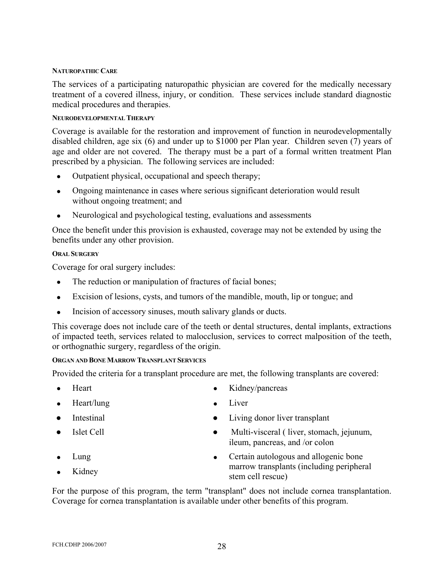#### <span id="page-30-0"></span>**NATUROPATHIC CARE**

The services of a participating naturopathic physician are covered for the medically necessary treatment of a covered illness, injury, or condition. These services include standard diagnostic medical procedures and therapies.

## **NEURODEVELOPMENTAL THERAPY**

Coverage is available for the restoration and improvement of function in neurodevelopmentally disabled children, age six (6) and under up to \$1000 per Plan year. Children seven (7) years of age and older are not covered. The therapy must be a part of a formal written treatment Plan prescribed by a physician. The following services are included:

- Outpatient physical, occupational and speech therapy;
- Ongoing maintenance in cases where serious significant deterioration would result without ongoing treatment; and
- Neurological and psychological testing, evaluations and assessments

Once the benefit under this provision is exhausted, coverage may not be extended by using the benefits under any other provision.

## **ORAL SURGERY**

Coverage for oral surgery includes:

- The reduction or manipulation of fractures of facial bones;
- Excision of lesions, cysts, and tumors of the mandible, mouth, lip or tongue; and
- Incision of accessory sinuses, mouth salivary glands or ducts.

This coverage does not include care of the teeth or dental structures, dental implants, extractions of impacted teeth, services related to malocclusion, services to correct malposition of the teeth, or orthognathic surgery, regardless of the origin.

#### **ORGAN AND BONE MARROW TRANSPLANT SERVICES**

Provided the criteria for a transplant procedure are met, the following transplants are covered:

- Heart Kidney/pancreas
- Heart/lung Liver
- 
- 
- Lung The second second second second second second second second second second second second second second second second second second second second second second second second second second second second second second s
- Kidney
- 
- 
- Intestinal Living donor liver transplant
- Islet Cell Multi-visceral ( liver, stomach, jejunum, ileum, pancreas, and /or colon
	- Certain autologous and allogenic bone marrow transplants (including peripheral stem cell rescue)

For the purpose of this program, the term "transplant" does not include cornea transplantation. Coverage for cornea transplantation is available under other benefits of this program.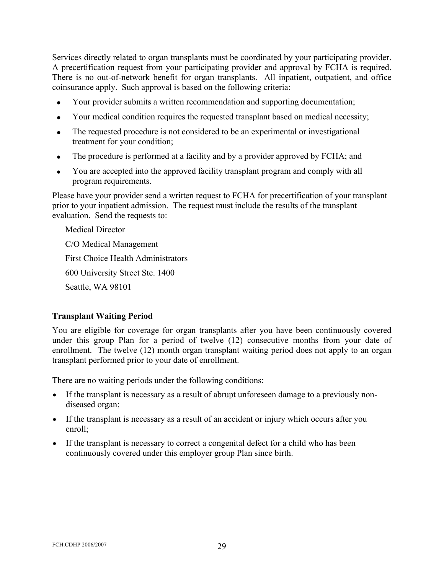Services directly related to organ transplants must be coordinated by your participating provider. A precertification request from your participating provider and approval by FCHA is required. There is no out-of-network benefit for organ transplants. All inpatient, outpatient, and office coinsurance apply. Such approval is based on the following criteria:

- Your provider submits a written recommendation and supporting documentation;
- Your medical condition requires the requested transplant based on medical necessity;
- The requested procedure is not considered to be an experimental or investigational treatment for your condition;
- The procedure is performed at a facility and by a provider approved by FCHA; and
- You are accepted into the approved facility transplant program and comply with all program requirements.

Please have your provider send a written request to FCHA for precertification of your transplant prior to your inpatient admission. The request must include the results of the transplant evaluation. Send the requests to:

Medical Director C/O Medical Management First Choice Health Administrators 600 University Street Ste. 1400 Seattle, WA 98101

## **Transplant Waiting Period**

You are eligible for coverage for organ transplants after you have been continuously covered under this group Plan for a period of twelve (12) consecutive months from your date of enrollment. The twelve (12) month organ transplant waiting period does not apply to an organ transplant performed prior to your date of enrollment.

There are no waiting periods under the following conditions:

- If the transplant is necessary as a result of abrupt unforeseen damage to a previously nondiseased organ;
- If the transplant is necessary as a result of an accident or injury which occurs after you enroll;
- If the transplant is necessary to correct a congenital defect for a child who has been continuously covered under this employer group Plan since birth.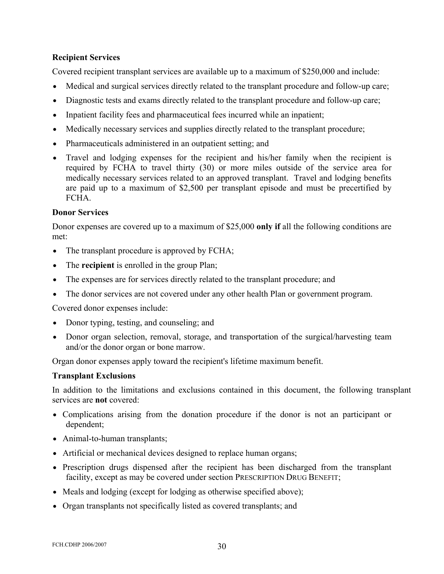## **Recipient Services**

Covered recipient transplant services are available up to a maximum of \$250,000 and include:

- Medical and surgical services directly related to the transplant procedure and follow-up care;
- Diagnostic tests and exams directly related to the transplant procedure and follow-up care;
- Inpatient facility fees and pharmaceutical fees incurred while an inpatient;
- Medically necessary services and supplies directly related to the transplant procedure;
- Pharmaceuticals administered in an outpatient setting; and
- Travel and lodging expenses for the recipient and his/her family when the recipient is required by FCHA to travel thirty (30) or more miles outside of the service area for medically necessary services related to an approved transplant. Travel and lodging benefits are paid up to a maximum of \$2,500 per transplant episode and must be precertified by **FCHA**

## **Donor Services**

Donor expenses are covered up to a maximum of \$25,000 **only if** all the following conditions are met:

- The transplant procedure is approved by FCHA;
- The **recipient** is enrolled in the group Plan;
- The expenses are for services directly related to the transplant procedure; and
- The donor services are not covered under any other health Plan or government program.

Covered donor expenses include:

- Donor typing, testing, and counseling; and
- Donor organ selection, removal, storage, and transportation of the surgical/harvesting team and/or the donor organ or bone marrow.

Organ donor expenses apply toward the recipient's lifetime maximum benefit.

## **Transplant Exclusions**

In addition to the limitations and exclusions contained in this document, the following transplant services are **not** covered:

- Complications arising from the donation procedure if the donor is not an participant or dependent;
- Animal-to-human transplants;
- Artificial or mechanical devices designed to replace human organs;
- Prescription drugs dispensed after the recipient has been discharged from the transplant facility, except as may be covered under section PRESCRIPTION DRUG BENEFIT;
- M eals and lodging (except for lodging as otherwise specified above);
- Organ transplants not specifically listed as covered transplants; and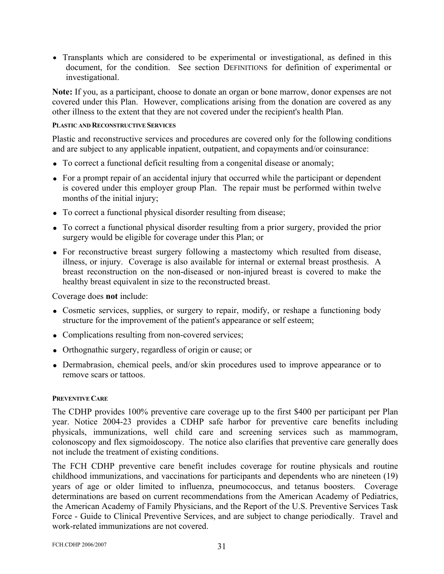<span id="page-33-0"></span>• Transplants which are considered to be experimental or investigational, as defined in this document, for the condition. See section DEFINITIONS for definition of experimental or investigational.

**Note:** If you, as a participant, choose to donate an organ or bone marrow, donor expenses are not covered under this Plan. However, complications arising from the donation are covered as any other illness to the extent that they are not covered under the recipient's health Plan.

## **PLASTIC AND RECONSTRUCTIVE SERVICES**

Plastic and reconstructive services and procedures are covered only for the following conditions and are subject to any applicable inpatient, outpatient, and copayments and/or coinsurance:

- To correct a functional deficit resulting from a congenital disease or anomaly;
- For a prompt repair of an accidental injury that occurred while the participant or dependent is covered under this employer group Plan. The repair must be performed within twelve months of the initial injury;
- To correct a functional physical disorder resulting from disease;
- To correct a functional physical disorder resulting from a prior surgery, provided the prior surgery would be eligible for coverage under this Plan; or
- For reconstructive breast surgery following a mastectomy which resulted from disease, illness, or injury. Coverage is also available for internal or external breast prosthesis. A breast reconstruction on the non-diseased or non-injured breast is covered to make the healthy breast equivalent in size to the reconstructed breast.

Coverage does **not** include:

- Cosmetic services, supplies, or surgery to repair, modify, or reshape a functioning body structure for the improvement of the patient's appearance or self esteem;
- Complications resulting from non-covered services;
- Orthognathic surgery, regardless of origin or cause; or
- Dermabrasion, chemical peels, and/or skin procedures used to improve appearance or to remove scars or tattoos.

## **PREVENTIVE CARE**

The CDHP provides 100% preventive care coverage up to the first \$400 per participant per Plan year. Notice 2004-23 provides a CDHP safe harbor for preventive care benefits including physicals, immunizations, well child care and screening services such as mammogram, colonoscopy and flex sigmoidoscopy. The notice also clarifies that preventive care generally does not include the treatment of existing conditions.

The FCH CDHP preventive care benefit includes coverage for routine physicals and routine childhood immunizations, and vaccinations for participants and dependents who are nineteen (19) years of age or older limited to influenza, pneumococcus, and tetanus boosters. Coverage determinations are based on current recommendations from the American Academy of Pediatrics, the American Academy of Family Physicians, and the Report of the U.S. Preventive Services Task Force - Guide to Clinical Preventive Services, and are subject to change periodically. Travel and work-related immunizations are not covered.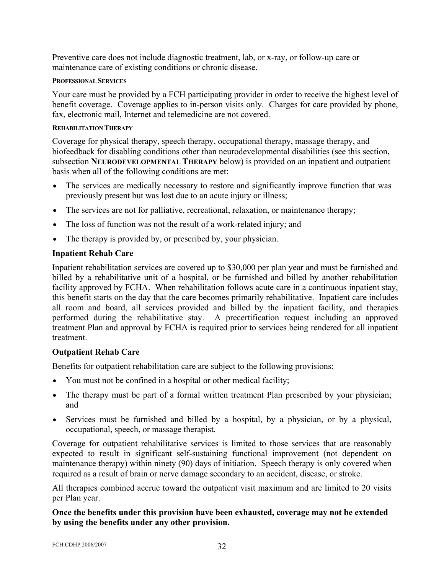<span id="page-34-0"></span>Preventive care does not include diagnostic treatment, lab, or x-ray, or follow-up care or maintenance care of existing conditions or chronic disease.

#### **PROFESSIONAL SERVICES**

Your care must be provided by a FCH participating provider in order to receive the highest level of benefit coverage. Coverage applies to in-person visits only. Charges for care provided by phone, fax, electronic mail, Internet and telemedicine are not covered.

## **REHABILITATION THERAPY**

Coverage for physical therapy, speech therapy, occupational therapy, massage therapy, and biofeedback for disabling conditions other than neurodevelopmental disabilities (see this section**,** subsection **NEURODEVELOPMENTAL THERAPY** below) is provided on an inpatient and outpatient basis when all of the following conditions are met:

- The services are medically necessary to restore and significantly improve function that was previously present but was lost due to an acute injury or illness;
- The services are not for palliative, recreational, relaxation, or maintenance therapy;
- The loss of function was not the result of a work-related injury; and
- The therapy is provided by, or prescribed by, your physician.

## **Inpatient Rehab Care**

Inpatient rehabilitation services are covered up to \$30,000 per plan year and must be furnished and billed by a rehabilitative unit of a hospital, or be furnished and billed by another rehabilitation facility approved by FCHA. When rehabilitation follows acute care in a continuous inpatient stay, this benefit starts on the day that the care becomes primarily rehabilitative. Inpatient care includes all room and board, all services provided and billed by the inpatient facility, and therapies performed during the rehabilitative stay. A precertification request including an approved treatment Plan and approval by FCHA is required prior to services being rendered for all inpatient treatment.

## **Outpatient Rehab Care**

Benefits for outpatient rehabilitation care are subject to the following provisions:

- You must not be confined in a hospital or other medical facility;
- The therapy must be part of a formal written treatment Plan prescribed by your physician; and
- Services must be furnished and billed by a hospital, by a physician, or by a physical, occupational, speech, or massage therapist.

Coverage for outpatient rehabilitative services is limited to those services that are reasonably expected to result in significant self-sustaining functional improvement (not dependent on maintenance therapy) within ninety (90) days of initiation. Speech therapy is only covered when required as a result of brain or nerve damage secondary to an accident, disease, or stroke.

All therapies combined accrue toward the outpatient visit maximum and are limited to 20 visits per Plan year.

## **Once the benefits under this provision have been exhausted, coverage may not be extended by using the benefits under any other provision.**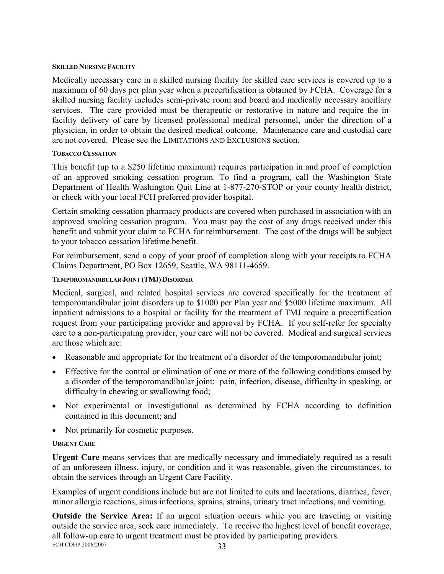#### <span id="page-35-0"></span>**SKILLED NURSING FACILITY**

Medically necessary care in a skilled nursing facility for skilled care services is covered up to a maximum of 60 days per plan year when a precertification is obtained by FCHA. Coverage for a skilled nursing facility includes semi-private room and board and medically necessary ancillary services. The care provided must be therapeutic or restorative in nature and require the infacility delivery of care by licensed professional medical personnel, under the direction of a physician, in order to obtain the desired medical outcome. Maintenance care and custodial care are not covered. Please see the LIMITATIONS AND EXCLUSIONS section.

## **TOBACCO CESSATION**

This benefit (up to a \$250 lifetime maximum) requires participation in and proof of completion of an approved smoking cessation program. To find a program, call the Washington State Department of Health Washington Quit Line at 1-877-270-STOP or your county health district, or check with your local FCH preferred provider hospital.

Certain smoking cessation pharmacy products are covered when purchased in association with an approved smoking cessation program. You must pay the cost of any drugs received under this benefit and submit your claim to FCHA for reimbursement. The cost of the drugs will be subject to your tobacco cessation lifetime benefit.

For reimbursement, send a copy of your proof of completion along with your receipts to FCHA Claims Department, PO Box 12659, Seattle, WA 98111-4659.

## **TEMPOROMANDIBULAR JOINT (TMJ) DISORDER**

Medical, surgical, and related hospital services are covered specifically for the treatment of temporomandibular joint disorders up to \$1000 per Plan year and \$5000 lifetime maximum. All inpatient admissions to a hospital or facility for the treatment of TMJ require a precertification request from your participating provider and approval by FCHA. If you self-refer for specialty care to a non-participating provider, your care will not be covered. Medical and surgical services are those which are:

- Reasonable and appropriate for the treatment of a disorder of the temporomandibular joint;
- Effective for the control or elimination of one or more of the following conditions caused by a disorder of the temporomandibular joint: pain, infection, disease, difficulty in speaking, or difficulty in chewing or swallowing food;
- Not experimental or investigational as determined by FCHA according to definition contained in this document; and
- Not primarily for cosmetic purposes.

## **URGENT CARE**

**Urgent Care** means services that are medically necessary and immediately required as a result of an unforeseen illness, injury, or condition and it was reasonable, given the circumstances, to obtain the services through an Urgent Care Facility.

Examples of urgent conditions include but are not limited to cuts and lacerations, diarrhea, fever, minor allergic reactions, sinus infections, sprains, strains, urinary tract infections, and vomiting.

FCH.CDHP 2006/2007 33 **Outside the Service Area:** If an urgent situation occurs while you are traveling or visiting outside the service area, seek care immediately. To receive the highest level of benefit coverage, all follow-up care to urgent treatment must be provided by participating providers.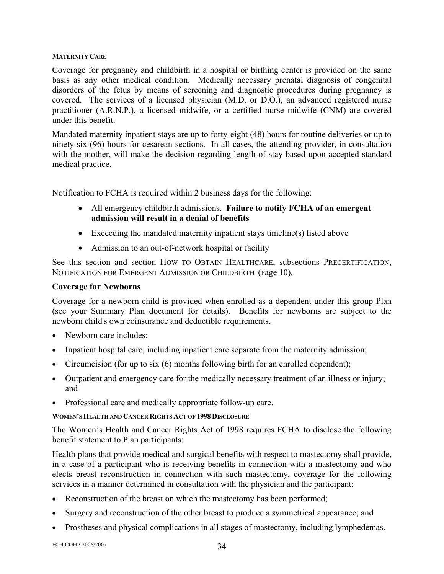## <span id="page-36-0"></span>**MATERNITY CARE**

basis as any other medical condition. Medically necessary prenatal diagnosis of congenital disorders of the fetus by means of screening and diagnostic procedures during pregnancy is Coverage for pregnancy and childbirth in a hospital or birthing center is provided on the same covered. The services of a licensed physician (M.D. or D.O.), an advanced registered nurse practitioner (A.R.N.P.), a licensed midwife, or a certified nurse midwife (CNM) are covered under this benefit.

with the mother, will make the decision regarding length of stay based upon accepted standard Mandated maternity inpatient stays are up to forty-eight (48) hours for routine deliveries or up to ninety-six (96) hours for cesarean sections. In all cases, the attending provider, in consultation medical practice.

Notification to FCHA is required within 2 business days for the following:

- All emergency childbirth admissions. **Failure to notify FCHA of an emergent admission will result in a denial of benefits**
- Exceeding the mandated maternity inpatient stays timeline(s) listed above
- Admission to an out-of-network hospital or facility

See this section and section HOW TO OBTAIN HEALTHCARE, subsections PRECERTIFICATION, NOTIFICATION FOR EMERGENT ADMISSION OR CHILDBIRTH (Page 10).

## **Coverage for Newborns**

(see your Summary Plan document for details). Benefits for newborns are subject to the newborn child's own coinsurance and deductible requirements. Coverage for a newborn child is provided when enrolled as a dependent under this group Plan

- Newborn care includes:
- Inpatient hospital care, including inpatient care separate from the maternity admission;
- Circumcision (for up to six  $(6)$  months following birth for an enrolled dependent);
- Outpatient and emergency care for the medically necessary treatment of an illness or injury; and
- Professional care and medically appropriate follow-up care.

## **WOMEN'S HEALTH AND CANCER RIGHTS ACT OF 1998 DISCLOSURE**

The Women's Health and Cancer Rights Act of 1998 requires FCHA to disclose the following benefit statement to Plan participants:

Health plans that provide medical and surgical benefits with respect to mastectomy shall provide, services in a manner determined in consultation with the physician and the participant: in a case of a participant who is receiving benefits in connection with a mastectomy and who elects breast reconstruction in connection with such mastectomy, coverage for the following

- Reconstruction of the breast on which the mastectomy has been performed;
- Surgery and reconstruction of the other breast to produce a symmetrical appearance; and
- Prostheses and physical complications in all stages of mastectomy, including lymphedemas.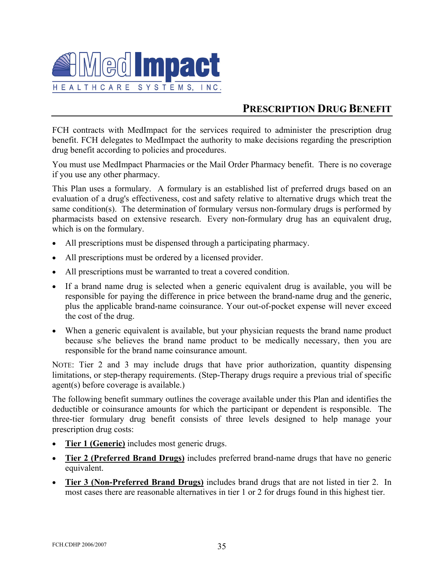<span id="page-37-0"></span>

# **PRESCRIPTION DRUG BENEFIT**

FCH contracts with MedImpact for the services required to administer the prescription drug benefit. FCH delegates to MedImpact the authority to make decisions regarding the prescription drug benefit according to policies and procedures.

You must use MedImpact Pharmacies or the Mail Order Pharmacy benefit. There is no coverage if you use any other pharmacy.

evaluation of a drug's effectiveness, cost and safety relative to alternative drugs which treat the pharmacists based on extensive research. Every non-formulary drug has an equivalent drug, This Plan uses a formulary. A formulary is an established list of preferred drugs based on an same condition(s). The determination of formulary versus non-formulary drugs is performed by which is on the formulary.

- All prescriptions must be dispensed through a participating pharmacy.
- All prescriptions must be ordered by a licensed provider.
- All prescriptions must be warranted to treat a covered condition.
- If a brand name drug is selected when a generic equivalent drug is available, you will be responsible for paying the difference in price between the brand-name drug and the generic, plus the applicable brand-name coinsurance. Your out-of-pocket expense will never exceed the cost of the drug.
- When a generic equivalent is available, but your physician requests the brand name product because s/he believes the brand name product to be medically necessary, then you are responsible for the brand name coinsurance amount.

NOTE: Tier 2 and 3 may include drugs that have prior authorization, quantity dispensing agent(s) before coverage is available.) limitations, or step-therapy requirements. (Step-Therapy drugs require a previous trial of specific

The following benefit summary outlines the coverage available under this Plan and identifies the deductible or coinsurance amounts for which the participant or dependent is responsible. The three-tier formulary drug benefit consists of three levels designed to help manage your prescription drug costs:

- **Tier 1 (Generic)** includes most generic drugs.
- **Tier 2 (Preferred Brand Drugs)** includes preferred brand-name drugs that have no generic equivalent.
- **Tier 3 (Non-Preferred Brand Drugs)** includes brand drugs that are not listed in tier 2. In most cases there are reasonable alternatives in tier 1 or 2 for drugs found in this highest tier.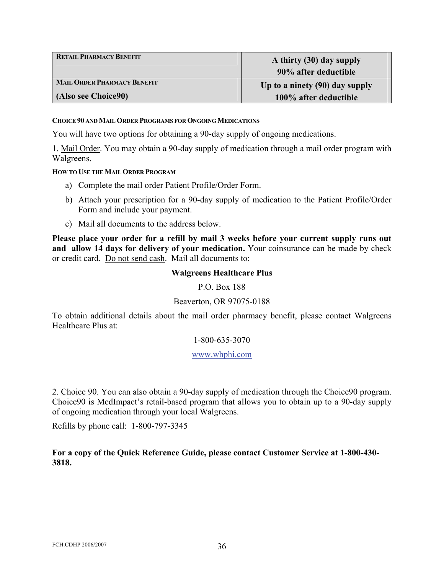<span id="page-38-0"></span>

| <b>RETAIL PHARMACY BENEFIT</b> | A thirty (30) day supply       |  |
|--------------------------------|--------------------------------|--|
|                                | 90% after deductible           |  |
| MAIL ORDER PHARMACY BENEFIT    | Up to a ninety (90) day supply |  |
| (Also see Choice90)            | 100% after deductible          |  |

#### **CHOICE 90 AND MAIL ORDER PROGRAMS FOR ONGOING MEDICATIONS**

You will have two options for obtaining a 90-day supply of ongoing medications.

1. Mail Order. You may obtain a 90-day supply of medication through a mail order program with Walgreens.

#### **HOW TO USE THE MAIL ORDER PROGRAM**

- a) Complete the mail order Patient Profile/Order Form.
- b) Attach your prescription for a 90-day supply of medication to the Patient Profile/Order Form and include your payment.
- c) Mail all documents to the address below.

**Please place your order for a refill by mail 3 weeks before your current supply runs out**  and allow 14 days for delivery of your medication. Your coinsurance can be made by check or credit card. Do not send cash. Mail all documents to:

## **Walgreens Healthcare Plus**

#### P.O. Box 188

## Beaverton, OR 97075-0188

To obtain additional details about the mail order pharmacy benefit, please contact Walgreens Healthcare Plus at:

#### 1-800-635-3070

#### www.whphi.com

2. Choice 90. You can also obtain a 90-day supply of medication through the Choice90 program. Choice 90 is MedImpact's retail-based program that allows you to obtain up to a 90-day supply of ongoing medication through your local Walgreens.

Refills by phone call: 1-800-797-3345

For a copy of the Quick Reference Guide, please contact Customer Service at 1-800-430-**818. 3**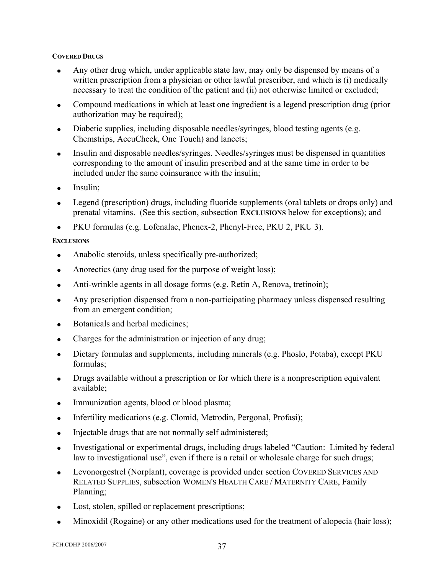## <span id="page-39-0"></span>**COVERED DRUGS**

- Any other drug which, under applicable state law, may only be dispensed by means of a written prescription from a physician or other lawful prescriber, and which is (i) medically necessary to treat the condition of the patient and (ii) not otherwise limited or excluded;
- Compound medications in which at least one ingredient is a legend prescription drug (prior authorization may be required);
- Diabetic supplies, including disposable needles/syringes, blood testing agents (e.g. Chemstrips, AccuCheck, One Touch) and lancets;
- Insulin and disposable needles/syringes. Needles/syringes must be dispensed in quantities corresponding to the amount of insulin prescribed and at the same time in order to be included under the same coinsurance with the insulin;
- Insulin:
- Legend (prescription) drugs, including fluoride supplements (oral tablets or drops only) and prenatal vitamins. (See this section, subsection **EXCLUSIONS** below for exceptions); and
- PKU formulas (e.g. Lofenalac, Phenex-2, Phenyl-Free, PKU 2, PKU 3).

## **EXCLUSIONS**

- Anabolic steroids, unless specifically pre-authorized;
- Anorectics (any drug used for the purpose of weight loss);
- Anti-wrinkle agents in all dosage forms (e.g. Retin A, Renova, tretinoin);
- Any prescription dispensed from a non-participating pharmacy unless dispensed resulting from an emergent condition;
- Botanicals and herbal medicines:
- Charges for the administration or injection of any drug;
- Dietary formulas and supplements, including minerals (e.g. Phoslo, Potaba), except PKU formulas;
- Drugs available without a prescription or for which there is a nonprescription equivalent available;
- Immunization agents, blood or blood plasma;
- Infertility medications (e.g. Clomid, Metrodin, Pergonal, Profasi);
- Injectable drugs that are not normally self administered;
- Investigational or experimental drugs, including drugs labeled "Caution: Limited by federal law to investigational use", even if there is a retail or wholesale charge for such drugs;
- Levonorgestrel (Norplant), coverage is provided under section COVERED SERVICES AND RELATED SUPPLIES, subsection WOMEN'S HEALTH CARE / MATERNITY CARE, Family Planning;
- Lost, stolen, spilled or replacement prescriptions;
- Minoxidil (Rogaine) or any other medications used for the treatment of alopecia (hair loss);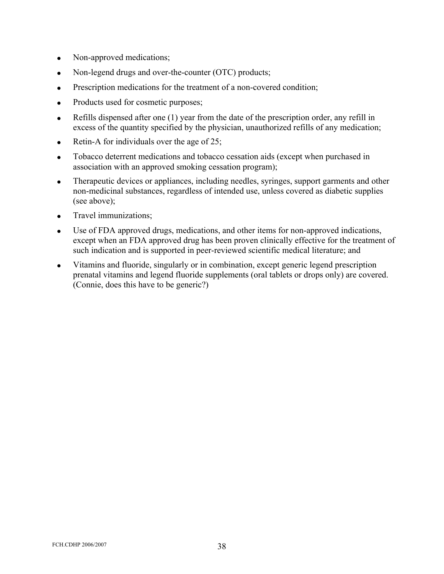- Non-approved medications;
- Non-legend drugs and over-the-counter (OTC) products;
- Prescription medications for the treatment of a non-covered condition;
- Products used for cosmetic purposes;
- Refills dispensed after one (1) year from the date of the prescription order, any refill in excess of the quantity specified by the physician, unauthorized refills of any medication;
- Retin-A for individuals over the age of 25;
- Tobacco deterrent medications and tobacco cessation aids (except when purchased in association with an approved smoking cessation program);
- Therapeutic devices or appliances, including needles, syringes, support garments and other non-medicinal substances, regardless of intended use, unless covered as diabetic supplies (see above);
- Travel immunizations;
- Use of FDA approved drugs, medications, and other items for non-approved indications, except when an FDA approved drug has been proven clinically effective for the treatment of such indication and is supported in peer-reviewed scientific medical literature; and
- Vitamins and fluoride, singularly or in combination, except generic legend prescription prenatal vitamins and legend fluoride supplements (oral tablets or drops only) are covered. (Connie, does this have to be generic?)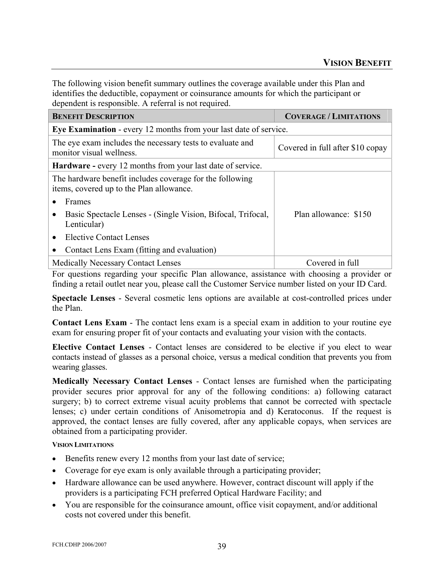<span id="page-41-0"></span>The following vision benefit summary outlines the coverage available under this Plan and identifies the deductible, copayment or coinsurance amounts for which the participant or dependent is responsible. A referral is not required.

| <b>BENEFIT DESCRIPTION</b>                                                                           | <b>COVERAGE / LIMITATIONS</b>    |  |  |
|------------------------------------------------------------------------------------------------------|----------------------------------|--|--|
| <b>Eye Examination - every 12 months from your last date of service.</b>                             |                                  |  |  |
| The eye exam includes the necessary tests to evaluate and<br>monitor visual wellness.                | Covered in full after \$10 copay |  |  |
| <b>Hardware - every 12 months from your last date of service.</b>                                    |                                  |  |  |
| The hardware benefit includes coverage for the following<br>items, covered up to the Plan allowance. |                                  |  |  |
| Frames                                                                                               |                                  |  |  |
| Basic Spectacle Lenses - (Single Vision, Bifocal, Trifocal,<br>Lenticular)                           | Plan allowance: \$150            |  |  |
| <b>Elective Contact Lenses</b>                                                                       |                                  |  |  |
| Contact Lens Exam (fitting and evaluation)                                                           |                                  |  |  |
| <b>Medically Necessary Contact Lenses</b>                                                            | Covered in full                  |  |  |

For questions regarding your specific Plan allowance, assistance with choosing a provider or finding a retail outlet near you, please call the Customer Service number listed on your ID Card.

**Spectacle Lenses** - Several cosmetic lens options are available at cost-controlled prices under the Plan.

**Contact Lens Exam** - The contact lens exam is a special exam in addition to your routine eye exam for ensuring proper fit of your contacts and evaluating your vision with the contacts.

**Elective Contact Lenses** - Contact lenses are considered to be elective if you elect to wear contacts instead of glasses as a personal choice, versus a medical condition that prevents you from wearing glasses.

**Medically Necessary Contact Lenses** - Contact lenses are furnished when the participating provider secures prior approval for any of the following conditions: a) following cataract surgery; b) to correct extreme visual acuity problems that cannot be corrected with spectacle lenses; c) under certain conditions of Anisometropia and d) Keratoconus. If the request is approved, the contact lenses are fully covered, after any applicable copays, when services are obtained from a participating provider.

## **VISION LIMITATIONS**

- Benefits renew every 12 months from your last date of service;
- Coverage for eye exam is only available through a participating provider;
- Hardware allowance can be used anywhere. However, contract discount will apply if the providers is a participating FCH preferred Optical Hardware Facility; and
- You are responsible for the coinsurance amount, office visit copayment, and/or additional costs not covered under this benefit.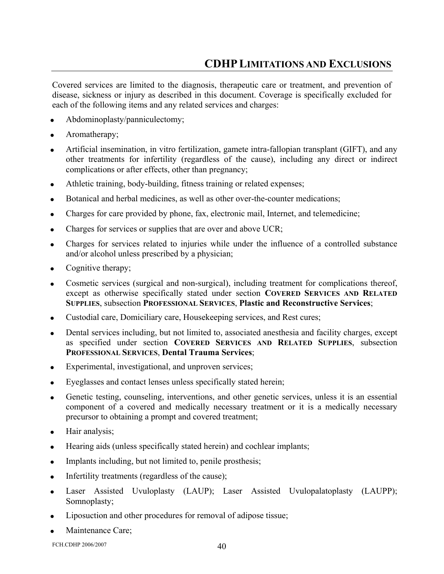<span id="page-42-0"></span>Covered services are limited to the diagnosis, therapeutic care or treatment, and prevention of disease, sickness or injury as described in this document. Coverage is specifically excluded for each of the following items and any related services and charges:

- Abdominoplasty/panniculectomy;
- Aromatherapy;
- Artificial insemination, in vitro fertilization, gamete intra-fallopian transplant (GIFT), and any other treatments for infertility (regardless of the cause), including any direct or indirect complications or after effects, other than pregnancy;
- Athletic training, body-building, fitness training or related expenses;
- Botanical and herbal medicines, as well as other over-the-counter medications;
- Charges for care provided by phone, fax, electronic mail, Internet, and telemedicine;
- Charges for services or supplies that are over and above UCR;
- Charges for services related to injuries while under the influence of a controlled substance and/or alcohol unless prescribed by a physician;
- Cognitive therapy;
- Cosmetic services (surgical and non-surgical), including treatment for complications thereof, except as otherwise specifically stated under section **COVERED SERVICES AND RELATED SUPPLIES**, subsection **PROFESSIONAL SERVICES**, **Plastic and Reconstructive Services**;
- Custodial care, Domiciliary care, Housekeeping services, and Rest cures;
- Dental services including, but not limited to, associated anesthesia and facility charges, except as specified under section **COVERED SERVICES AND RELATED SUPPLIES**, subsection **PROFESSIONAL SERVICES**, **Dental Trauma Services**;
- Experimental, investigational, and unproven services;
- Eyeglasses and contact lenses unless specifically stated herein;
- Genetic testing, counseling, interventions, and other genetic services, unless it is an essential component of a covered and medically necessary treatment or it is a medically necessary precursor to obtaining a prompt and covered treatment;
- Hair analysis;
- Hearing aids (unless specifically stated herein) and cochlear implants;
- Implants including, but not limited to, penile prosthesis;
- Infertility treatments (regardless of the cause);
- Laser Assisted Uvuloplasty (LAUP); Laser Assisted Uvulopalatoplasty (LAUPP); Somnoplasty;
- Liposuction and other procedures for removal of adipose tissue;
- Maintenance Care;

FCH.CDHP 2006/2007 40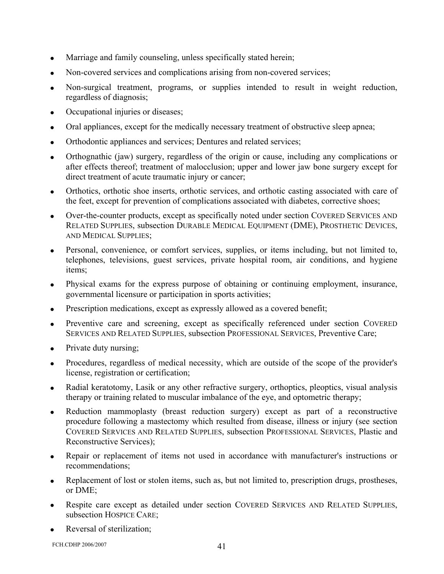- Marriage and family counseling, unless specifically stated herein;
- Non-covered services and complications arising from non-covered services;
- Non-surgical treatment, programs, or supplies intended to result in weight reduction, regardless of diagnosis;
- Occupational injuries or diseases;
- Oral appliances, except for the medically necessary treatment of obstructive sleep apnea;
- Orthodontic appliances and services; Dentures and related services;
- Orthognathic (jaw) surgery, regardless of the origin or cause, including any complications or after effects thereof; treatment of malocclusion; upper and lower jaw bone surgery except for direct treatment of acute traumatic injury or cancer;
- Orthotics, orthotic shoe inserts, orthotic services, and orthotic casting associated with care of the feet, except for prevention of complications associated with diabetes, corrective shoes;
- Over-the-counter products, except as specifically noted under section COVERED SERVICES AND RELATED SUPPLIES, subsection DURABLE MEDICAL EQUIPMENT (DME), PROSTHETIC DEVICES, AND MEDICAL SUPPLIES;
- Personal, convenience, or comfort services, supplies, or items including, but not limited to, telephones, televisions, guest services, private hospital room, air conditions, and hygiene items;
- Physical exams for the express purpose of obtaining or continuing employment, insurance, governmental licensure or participation in sports activities;
- Prescription medications, except as expressly allowed as a covered benefit;
- Preventive care and screening, except as specifically referenced under section COVERED SERVICES AND RELATED SUPPLIES, subsection PROFESSIONAL SERVICES, Preventive Care;
- Private duty nursing;
- Procedures, regardless of medical necessity, which are outside of the scope of the provider's license, registration or certification;
- Radial keratotomy, Lasik or any other refractive surgery, orthoptics, pleoptics, visual analysis therapy or training related to muscular imbalance of the eye, and optometric therapy;
- Reduction mammoplasty (breast reduction surgery) except as part of a reconstructive procedure following a mastectomy which resulted from disease, illness or injury (see section COVERED SERVICES AND RELATED SUPPLIES, subsection PROFESSIONAL SERVICES, Plastic and Reconstructive Services);
- Repair or replacement of items not used in accordance with manufacturer's instructions or recommendations;
- Replacement of lost or stolen items, such as, but not limited to, prescription drugs, prostheses, or DME;
- Respite care except as detailed under section COVERED SERVICES AND RELATED SUPPLIES, subsection HOSPICE CARE;
- Reversal of sterilization;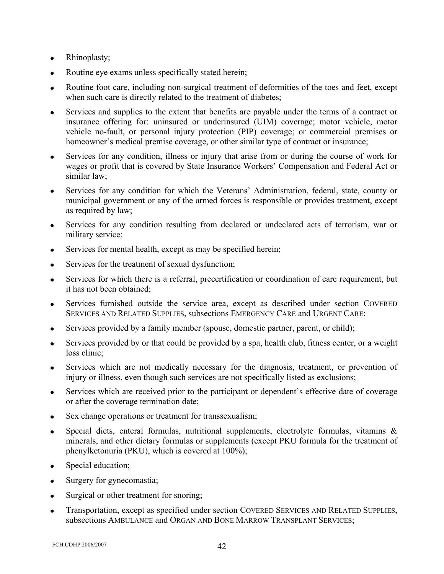- Rhinoplasty;
- Routine eye exams unless specifically stated herein;
- Routine foot care, including non-surgical treatment of deformities of the toes and feet, except when such care is directly related to the treatment of diabetes:
- Services and supplies to the extent that benefits are payable under the terms of a contract or insurance offering for: uninsured or underinsured (UIM) coverage; motor vehicle, motor vehicle no-fault, or personal injury protection (PIP) coverage; or commercial premises or homeowner's medical premise coverage, or other similar type of contract or insurance;
- Services for any condition, illness or injury that arise from or during the course of work for wages or profit that is covered by State Insurance Workers' Compensation and Federal Act or similar law;
- Services for any condition for which the Veterans' Administration, federal, state, county or municipal government or any of the armed forces is responsible or provides treatment, except as required by law;
- Services for any condition resulting from declared or undeclared acts of terrorism, war or military service;
- Services for mental health, except as may be specified herein;
- Services for the treatment of sexual dysfunction;
- Services for which there is a referral, precertification or coordination of care requirement, but it has not been obtained;
- Services furnished outside the service area, except as described under section COVERED SERVICES AND RELATED SUPPLIES, subsections EMERGENCY CARE and URGENT CARE;
- Services provided by a family member (spouse, domestic partner, parent, or child);
- Services provided by or that could be provided by a spa, health club, fitness center, or a weight loss clinic;
- Services which are not medically necessary for the diagnosis, treatment, or prevention of injury or illness, even though such services are not specifically listed as exclusions;
- Services which are received prior to the participant or dependent's effective date of coverage or after the coverage termination date;
- Sex change operations or treatment for transsexualism;
- Special diets, enteral formulas, nutritional supplements, electrolyte formulas, vitamins  $\&$ minerals, and other dietary formulas or supplements (except PKU formula for the treatment of phenylketonuria (PKU), which is covered at 100%);
- Special education;
- Surgery for gynecomastia;
- Surgical or other treatment for snoring;
- Transportation, except as specified under section COVERED SERVICES AND RELATED SUPPLIES, subsections AMBULANCE and ORGAN AND BONE MARROW TRANSPLANT SERVICES;